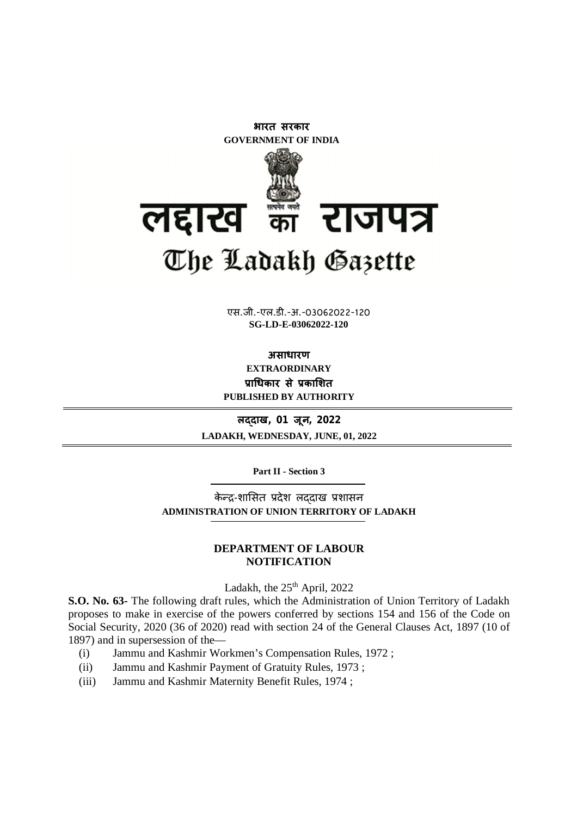

**xxxGIDHxxx SG-LD-E-03062022-120**एस.जी.-एल.डी.-अ.-03062022-120

**असाधारण EXTRAORDINARY Ĥाͬधकार सेĤकाͧशत PUBLISHED BY AUTHORITY**

**लɮदाख, 01 जून, 2022 LADAKH, WEDNESDAY, JUNE, 01, 2022**

**Part II - Section 3**

केन्द्र-शासित प्रदेश लददाख प्रशासन **ADMINISTRATION OF UNION TERRITORY OF LADAKH**

### **DEPARTMENT OF LABOUR NOTIFICATION**

Ladakh, the  $25<sup>th</sup>$  April, 2022

**S.O. No. 63-** The following draft rules, which the Administration of Union Territory of Ladakh proposes to make in exercise of the powers conferred by sections 154 and 156 of the Code on Social Security, 2020 (36 of 2020) read with section 24 of the General Clauses Act, 1897 (10 of 1897) and in supersession of the—

- (i) Jammu and Kashmir Workmen's Compensation Rules, 1972 ;
- (ii) Jammu and Kashmir Payment of Gratuity Rules, 1973 ;
- (iii) Jammu and Kashmir Maternity Benefit Rules, 1974 ;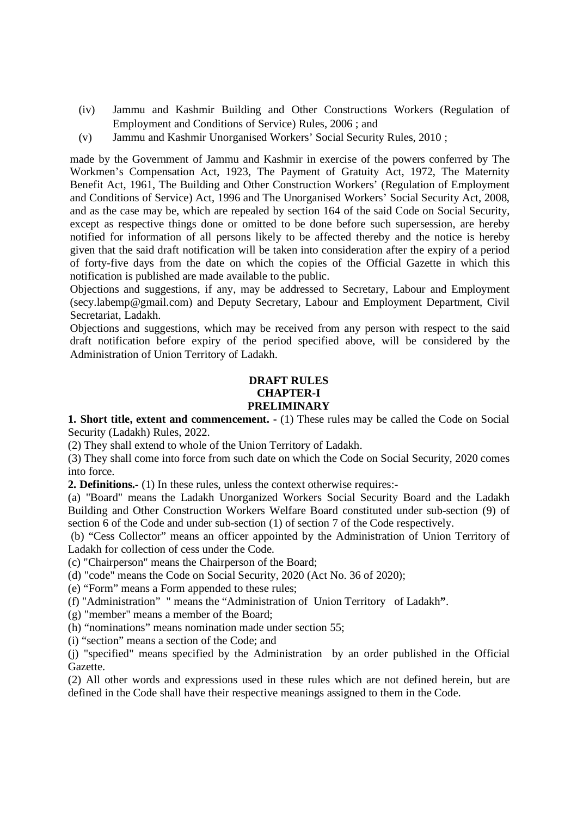- (iv) Jammu and Kashmir Building and Other Constructions Workers (Regulation of Employment and Conditions of Service) Rules, 2006 ; and
- (v) Jammu and Kashmir Unorganised Workers' Social Security Rules, 2010 ;

made by the Government of Jammu and Kashmir in exercise of the powers conferred by The Workmen's Compensation Act, 1923, The Payment of Gratuity Act, 1972, The Maternity Benefit Act, 1961, The Building and Other Construction Workers' (Regulation of Employment and Conditions of Service) Act, 1996 and The Unorganised Workers' Social Security Act, 2008, and as the case may be, which are repealed by section 164 of the said Code on Social Security, except as respective things done or omitted to be done before such supersession, are hereby notified for information of all persons likely to be affected thereby and the notice is hereby given that the said draft notification will be taken into consideration after the expiry of a period of forty-five days from the date on which the copies of the Official Gazette in which this notification is published are made available to the public.

Objections and suggestions, if any, may be addressed to Secretary, Labour and Employment (secy.labemp@gmail.com) and Deputy Secretary, Labour and Employment Department, Civil Secretariat, Ladakh.

Objections and suggestions, which may be received from any person with respect to the said draft notification before expiry of the period specified above, will be considered by the Administration of Union Territory of Ladakh.

## **DRAFT RULES CHAPTER-I PRELIMINARY**

**1. Short title, extent and commencement. -** (1) These rules may be called the Code on Social Security (Ladakh) Rules, 2022.

(2) They shall extend to whole of the Union Territory of Ladakh.

(3) They shall come into force from such date on which the Code on Social Security, 2020 comes into force.

**2. Definitions.-** (1) In these rules, unless the context otherwise requires:-

(a) "Board" means the Ladakh Unorganized Workers Social Security Board and the Ladakh Building and Other Construction Workers Welfare Board constituted under sub-section (9) of section 6 of the Code and under sub-section (1) of section 7 of the Code respectively.

(b) "Cess Collector" means an officer appointed by the Administration of Union Territory of Ladakh for collection of cess under the Code.

(c) "Chairperson" means the Chairperson of the Board;

(d) "code" means the Code on Social Security, 2020 (Act No. 36 of 2020);

(e) "Form" means a Form appended to these rules;

(f) "Administration" " means the "Administration of Union Territory of Ladakh**"**.

(g) "member" means a member of the Board;

(h) "nominations" means nomination made under section 55;

(i) "section" means a section of the Code; and

(j) "specified" means specified by the Administration by an order published in the Official Gazette.

(2) All other words and expressions used in these rules which are not defined herein, but are defined in the Code shall have their respective meanings assigned to them in the Code.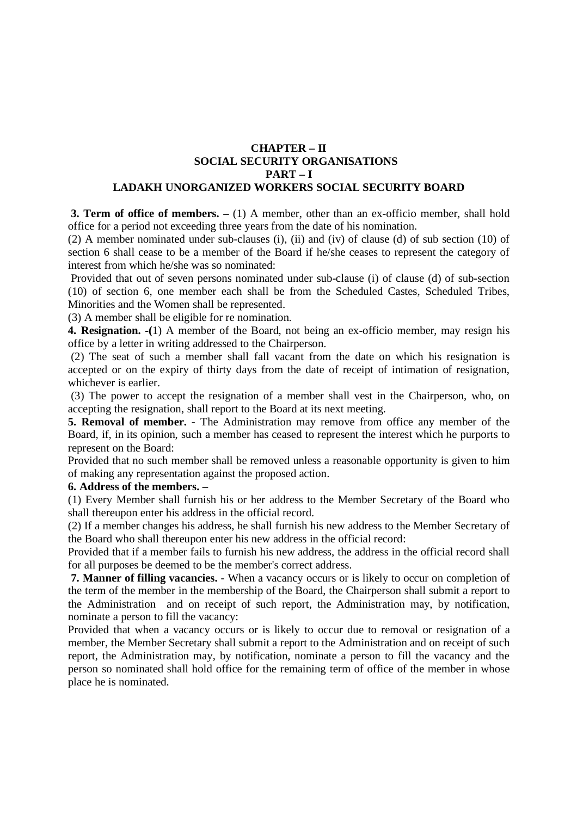### **CHAPTER – II SOCIAL SECURITY ORGANISATIONS PART – I LADAKH UNORGANIZED WORKERS SOCIAL SECURITY BOARD**

**3. Term of office of members. –** (1) A member, other than an ex-officio member, shall hold office for a period not exceeding three years from the date of his nomination.

(2) A member nominated under sub-clauses (i), (ii) and (iv) of clause (d) of sub section (10) of section 6 shall cease to be a member of the Board if he/she ceases to represent the category of interest from which he/she was so nominated:

Provided that out of seven persons nominated under sub-clause (i) of clause (d) of sub-section (10) of section 6, one member each shall be from the Scheduled Castes, Scheduled Tribes, Minorities and the Women shall be represented.

(3) A member shall be eligible for re nomination.

**4. Resignation. -(**1) A member of the Board, not being an ex-officio member, may resign his office by a letter in writing addressed to the Chairperson.

(2) The seat of such a member shall fall vacant from the date on which his resignation is accepted or on the expiry of thirty days from the date of receipt of intimation of resignation, whichever is earlier.

(3) The power to accept the resignation of a member shall vest in the Chairperson, who, on accepting the resignation, shall report to the Board at its next meeting.

**5. Removal of member. -** The Administration may remove from office any member of the Board, if, in its opinion, such a member has ceased to represent the interest which he purports to represent on the Board:

Provided that no such member shall be removed unless a reasonable opportunity is given to him of making any representation against the proposed action.

# **6. Address of the members. –**

(1) Every Member shall furnish his or her address to the Member Secretary of the Board who shall thereupon enter his address in the official record.

(2) If a member changes his address, he shall furnish his new address to the Member Secretary of the Board who shall thereupon enter his new address in the official record:

Provided that if a member fails to furnish his new address, the address in the official record shall for all purposes be deemed to be the member's correct address.

**7. Manner of filling vacancies. -** When a vacancy occurs or is likely to occur on completion of the term of the member in the membership of the Board, the Chairperson shall submit a report to the Administration and on receipt of such report, the Administration may, by notification, nominate a person to fill the vacancy:

Provided that when a vacancy occurs or is likely to occur due to removal or resignation of a member, the Member Secretary shall submit a report to the Administration and on receipt of such report, the Administration may, by notification, nominate a person to fill the vacancy and the person so nominated shall hold office for the remaining term of office of the member in whose place he is nominated.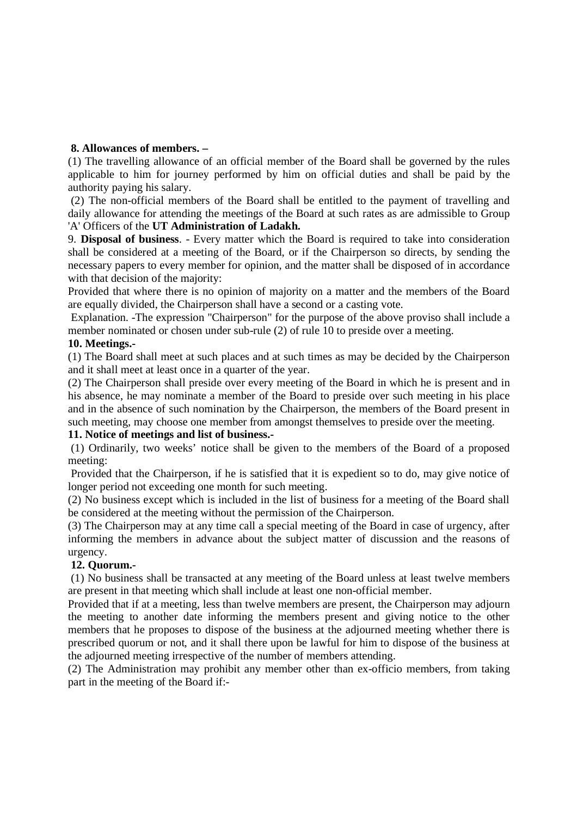### **8. Allowances of members. –**

(1) The travelling allowance of an official member of the Board shall be governed by the rules applicable to him for journey performed by him on official duties and shall be paid by the authority paying his salary.

(2) The non-official members of the Board shall be entitled to the payment of travelling and daily allowance for attending the meetings of the Board at such rates as are admissible to Group 'A' Officers of the **UT Administration of Ladakh.** 

9. **Disposal of business**. - Every matter which the Board is required to take into consideration shall be considered at a meeting of the Board, or if the Chairperson so directs, by sending the necessary papers to every member for opinion, and the matter shall be disposed of in accordance with that decision of the majority:

Provided that where there is no opinion of majority on a matter and the members of the Board are equally divided, the Chairperson shall have a second or a casting vote.

Explanation. -The expression "Chairperson" for the purpose of the above proviso shall include a member nominated or chosen under sub-rule (2) of rule 10 to preside over a meeting.

### **10. Meetings.-**

(1) The Board shall meet at such places and at such times as may be decided by the Chairperson and it shall meet at least once in a quarter of the year.

(2) The Chairperson shall preside over every meeting of the Board in which he is present and in his absence, he may nominate a member of the Board to preside over such meeting in his place and in the absence of such nomination by the Chairperson, the members of the Board present in such meeting, may choose one member from amongst themselves to preside over the meeting.

### **11. Notice of meetings and list of business.-**

(1) Ordinarily, two weeks' notice shall be given to the members of the Board of a proposed meeting:

Provided that the Chairperson, if he is satisfied that it is expedient so to do, may give notice of longer period not exceeding one month for such meeting.

(2) No business except which is included in the list of business for a meeting of the Board shall be considered at the meeting without the permission of the Chairperson.

(3) The Chairperson may at any time call a special meeting of the Board in case of urgency, after informing the members in advance about the subject matter of discussion and the reasons of urgency.

### **12. Quorum.-**

(1) No business shall be transacted at any meeting of the Board unless at least twelve members are present in that meeting which shall include at least one non-official member.

Provided that if at a meeting, less than twelve members are present, the Chairperson may adjourn the meeting to another date informing the members present and giving notice to the other members that he proposes to dispose of the business at the adjourned meeting whether there is prescribed quorum or not, and it shall there upon be lawful for him to dispose of the business at the adjourned meeting irrespective of the number of members attending.

(2) The Administration may prohibit any member other than ex-officio members, from taking part in the meeting of the Board if:-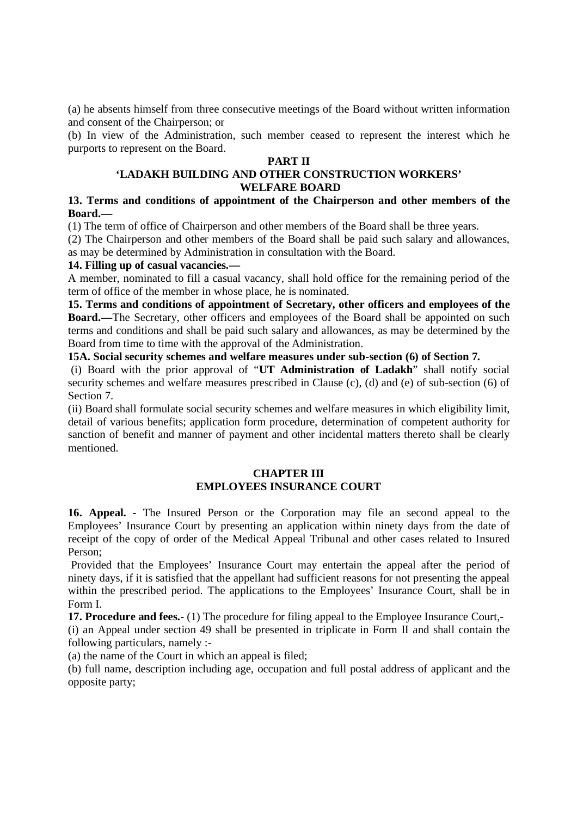(a) he absents himself from three consecutive meetings of the Board without written information and consent of the Chairperson; or

(b) In view of the Administration, such member ceased to represent the interest which he purports to represent on the Board.

### **PART II**

### **'LADAKH BUILDING AND OTHER CONSTRUCTION WORKERS' WELFARE BOARD**

### **13. Terms and conditions of appointment of the Chairperson and other members of the Board.—**

(1) The term of office of Chairperson and other members of the Board shall be three years.

(2) The Chairperson and other members of the Board shall be paid such salary and allowances, as may be determined by Administration in consultation with the Board.

#### **14. Filling up of casual vacancies.—**

A member, nominated to fill a casual vacancy, shall hold office for the remaining period of the term of office of the member in whose place, he is nominated.

**15. Terms and conditions of appointment of Secretary, other officers and employees of the Board.—**The Secretary, other officers and employees of the Board shall be appointed on such terms and conditions and shall be paid such salary and allowances, as may be determined by the Board from time to time with the approval of the Administration.

**15A. Social security schemes and welfare measures under sub-section (6) of Section 7.**

(i) Board with the prior approval of "**UT Administration of Ladakh**" shall notify social security schemes and welfare measures prescribed in Clause (c), (d) and (e) of sub-section (6) of Section 7.

(ii) Board shall formulate social security schemes and welfare measures in which eligibility limit, detail of various benefits; application form procedure, determination of competent authority for sanction of benefit and manner of payment and other incidental matters thereto shall be clearly mentioned.

### **CHAPTER III EMPLOYEES INSURANCE COURT**

**16. Appeal. -** The Insured Person or the Corporation may file an second appeal to the Employees' Insurance Court by presenting an application within ninety days from the date of receipt of the copy of order of the Medical Appeal Tribunal and other cases related to Insured Person;

Provided that the Employees' Insurance Court may entertain the appeal after the period of ninety days, if it is satisfied that the appellant had sufficient reasons for not presenting the appeal within the prescribed period. The applications to the Employees' Insurance Court, shall be in Form I.

**17. Procedure and fees.-** (1) The procedure for filing appeal to the Employee Insurance Court,-

(i) an Appeal under section 49 shall be presented in triplicate in Form II and shall contain the following particulars, namely :-

(a) the name of the Court in which an appeal is filed;

(b) full name, description including age, occupation and full postal address of applicant and the opposite party;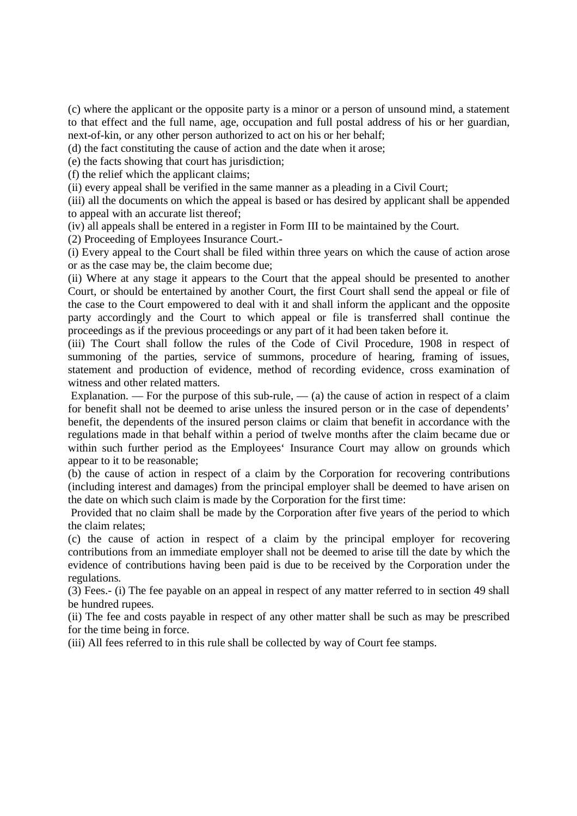(c) where the applicant or the opposite party is a minor or a person of unsound mind, a statement to that effect and the full name, age, occupation and full postal address of his or her guardian, next-of-kin, or any other person authorized to act on his or her behalf;

(d) the fact constituting the cause of action and the date when it arose;

(e) the facts showing that court has jurisdiction;

(f) the relief which the applicant claims;

(ii) every appeal shall be verified in the same manner as a pleading in a Civil Court;

(iii) all the documents on which the appeal is based or has desired by applicant shall be appended to appeal with an accurate list thereof;

(iv) all appeals shall be entered in a register in Form III to be maintained by the Court.

(2) Proceeding of Employees Insurance Court.-

(i) Every appeal to the Court shall be filed within three years on which the cause of action arose or as the case may be, the claim become due;

(ii) Where at any stage it appears to the Court that the appeal should be presented to another Court, or should be entertained by another Court, the first Court shall send the appeal or file of the case to the Court empowered to deal with it and shall inform the applicant and the opposite party accordingly and the Court to which appeal or file is transferred shall continue the proceedings as if the previous proceedings or any part of it had been taken before it.

(iii) The Court shall follow the rules of the Code of Civil Procedure, 1908 in respect of summoning of the parties, service of summons, procedure of hearing, framing of issues, statement and production of evidence, method of recording evidence, cross examination of witness and other related matters.

Explanation. — For the purpose of this sub-rule,  $-$  (a) the cause of action in respect of a claim for benefit shall not be deemed to arise unless the insured person or in the case of dependents' benefit, the dependents of the insured person claims or claim that benefit in accordance with the regulations made in that behalf within a period of twelve months after the claim became due or within such further period as the Employees' Insurance Court may allow on grounds which appear to it to be reasonable;

(b) the cause of action in respect of a claim by the Corporation for recovering contributions (including interest and damages) from the principal employer shall be deemed to have arisen on the date on which such claim is made by the Corporation for the first time:

Provided that no claim shall be made by the Corporation after five years of the period to which the claim relates;

(c) the cause of action in respect of a claim by the principal employer for recovering contributions from an immediate employer shall not be deemed to arise till the date by which the evidence of contributions having been paid is due to be received by the Corporation under the regulations.

(3) Fees.- (i) The fee payable on an appeal in respect of any matter referred to in section 49 shall be hundred rupees.

(ii) The fee and costs payable in respect of any other matter shall be such as may be prescribed for the time being in force.

(iii) All fees referred to in this rule shall be collected by way of Court fee stamps.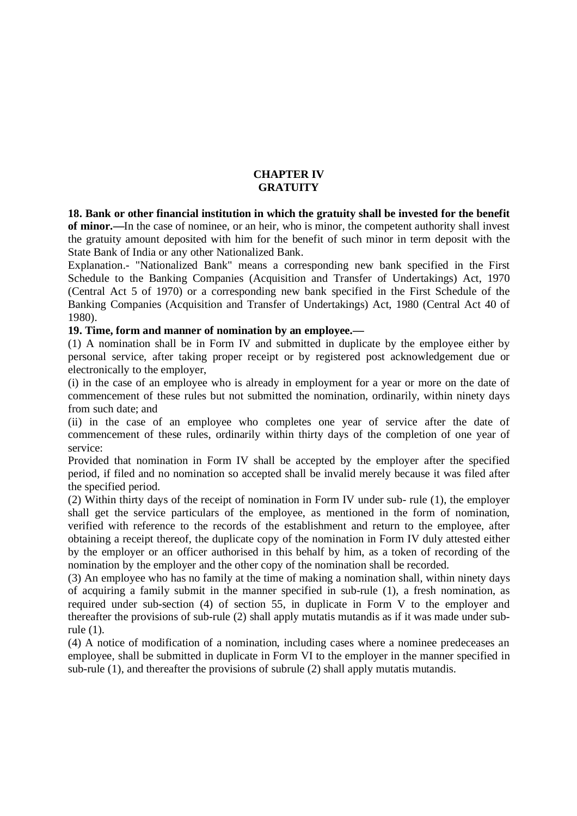# **CHAPTER IV GRATUITY**

**18. Bank or other financial institution in which the gratuity shall be invested for the benefit of minor.—**In the case of nominee, or an heir, who is minor, the competent authority shall invest the gratuity amount deposited with him for the benefit of such minor in term deposit with the State Bank of India or any other Nationalized Bank.

Explanation.- "Nationalized Bank" means a corresponding new bank specified in the First Schedule to the Banking Companies (Acquisition and Transfer of Undertakings) Act, 1970 (Central Act 5 of 1970) or a corresponding new bank specified in the First Schedule of the Banking Companies (Acquisition and Transfer of Undertakings) Act, 1980 (Central Act 40 of 1980).

### **19. Time, form and manner of nomination by an employee.—**

(1) A nomination shall be in Form IV and submitted in duplicate by the employee either by personal service, after taking proper receipt or by registered post acknowledgement due or electronically to the employer,

(i) in the case of an employee who is already in employment for a year or more on the date of commencement of these rules but not submitted the nomination, ordinarily, within ninety days from such date; and

(ii) in the case of an employee who completes one year of service after the date of commencement of these rules, ordinarily within thirty days of the completion of one year of service:

Provided that nomination in Form IV shall be accepted by the employer after the specified period, if filed and no nomination so accepted shall be invalid merely because it was filed after the specified period.

(2) Within thirty days of the receipt of nomination in Form IV under sub- rule (1), the employer shall get the service particulars of the employee, as mentioned in the form of nomination, verified with reference to the records of the establishment and return to the employee, after obtaining a receipt thereof, the duplicate copy of the nomination in Form IV duly attested either by the employer or an officer authorised in this behalf by him, as a token of recording of the nomination by the employer and the other copy of the nomination shall be recorded.

(3) An employee who has no family at the time of making a nomination shall, within ninety days of acquiring a family submit in the manner specified in sub-rule (1), a fresh nomination, as required under sub-section (4) of section 55, in duplicate in Form V to the employer and thereafter the provisions of sub-rule (2) shall apply mutatis mutandis as if it was made under subrule (1).

(4) A notice of modification of a nomination, including cases where a nominee predeceases an employee, shall be submitted in duplicate in Form VI to the employer in the manner specified in sub-rule (1), and thereafter the provisions of subrule (2) shall apply mutatis mutandis.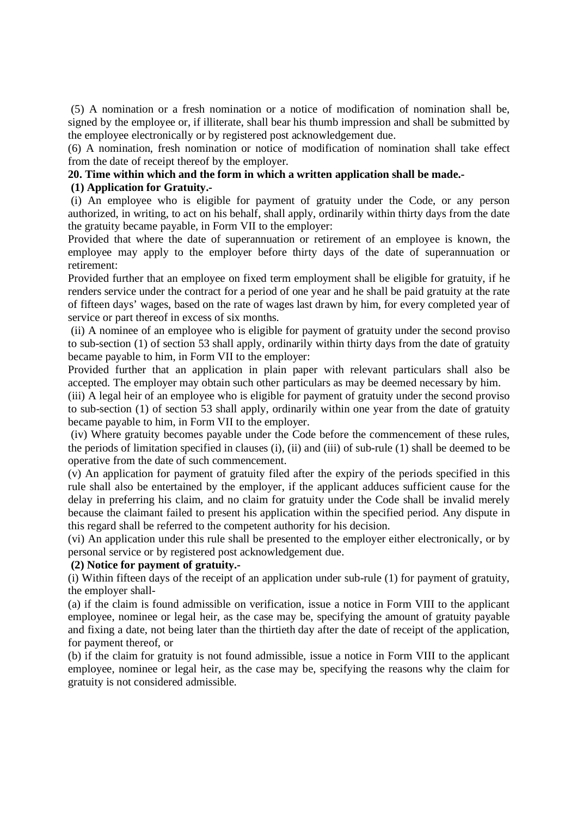(5) A nomination or a fresh nomination or a notice of modification of nomination shall be, signed by the employee or, if illiterate, shall bear his thumb impression and shall be submitted by the employee electronically or by registered post acknowledgement due.

(6) A nomination, fresh nomination or notice of modification of nomination shall take effect from the date of receipt thereof by the employer.

#### **20. Time within which and the form in which a written application shall be made.- (1) Application for Gratuity.-**

(i) An employee who is eligible for payment of gratuity under the Code, or any person authorized, in writing, to act on his behalf, shall apply, ordinarily within thirty days from the date the gratuity became payable, in Form VII to the employer:

Provided that where the date of superannuation or retirement of an employee is known, the employee may apply to the employer before thirty days of the date of superannuation or retirement:

Provided further that an employee on fixed term employment shall be eligible for gratuity, if he renders service under the contract for a period of one year and he shall be paid gratuity at the rate of fifteen days' wages, based on the rate of wages last drawn by him, for every completed year of service or part thereof in excess of six months.

(ii) A nominee of an employee who is eligible for payment of gratuity under the second proviso to sub-section (1) of section 53 shall apply, ordinarily within thirty days from the date of gratuity became payable to him, in Form VII to the employer:

Provided further that an application in plain paper with relevant particulars shall also be accepted. The employer may obtain such other particulars as may be deemed necessary by him.

(iii) A legal heir of an employee who is eligible for payment of gratuity under the second proviso to sub-section (1) of section 53 shall apply, ordinarily within one year from the date of gratuity became payable to him, in Form VII to the employer.

(iv) Where gratuity becomes payable under the Code before the commencement of these rules, the periods of limitation specified in clauses (i), (ii) and (iii) of sub-rule (1) shall be deemed to be operative from the date of such commencement.

(v) An application for payment of gratuity filed after the expiry of the periods specified in this rule shall also be entertained by the employer, if the applicant adduces sufficient cause for the delay in preferring his claim, and no claim for gratuity under the Code shall be invalid merely because the claimant failed to present his application within the specified period. Any dispute in this regard shall be referred to the competent authority for his decision.

(vi) An application under this rule shall be presented to the employer either electronically, or by personal service or by registered post acknowledgement due.

### **(2) Notice for payment of gratuity.-**

(i) Within fifteen days of the receipt of an application under sub-rule (1) for payment of gratuity, the employer shall-

(a) if the claim is found admissible on verification, issue a notice in Form VIII to the applicant employee, nominee or legal heir, as the case may be, specifying the amount of gratuity payable and fixing a date, not being later than the thirtieth day after the date of receipt of the application, for payment thereof, or

(b) if the claim for gratuity is not found admissible, issue a notice in Form VIII to the applicant employee, nominee or legal heir, as the case may be, specifying the reasons why the claim for gratuity is not considered admissible.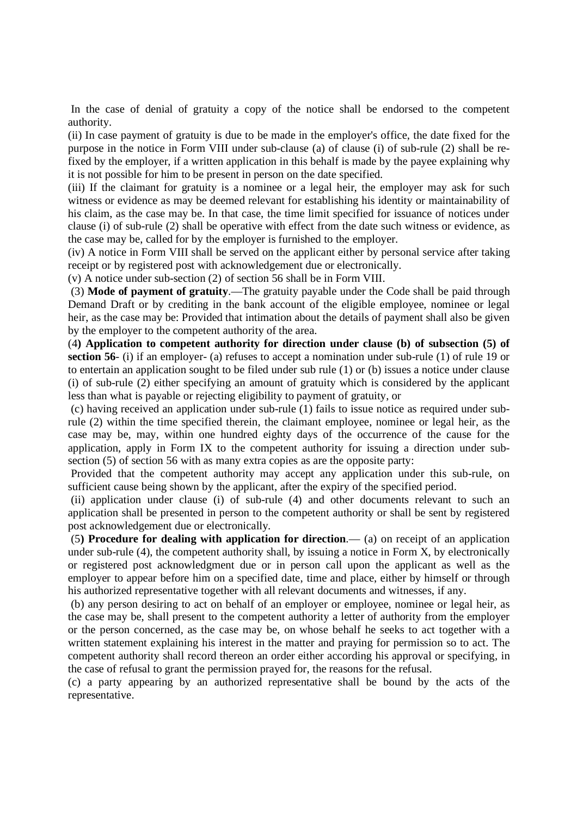In the case of denial of gratuity a copy of the notice shall be endorsed to the competent authority.

(ii) In case payment of gratuity is due to be made in the employer's office, the date fixed for the purpose in the notice in Form VIII under sub-clause (a) of clause (i) of sub-rule (2) shall be refixed by the employer, if a written application in this behalf is made by the payee explaining why it is not possible for him to be present in person on the date specified.

(iii) If the claimant for gratuity is a nominee or a legal heir, the employer may ask for such witness or evidence as may be deemed relevant for establishing his identity or maintainability of his claim, as the case may be. In that case, the time limit specified for issuance of notices under clause (i) of sub-rule (2) shall be operative with effect from the date such witness or evidence, as the case may be, called for by the employer is furnished to the employer.

(iv) A notice in Form VIII shall be served on the applicant either by personal service after taking receipt or by registered post with acknowledgement due or electronically.

(v) A notice under sub-section (2) of section 56 shall be in Form VIII.

(3) **Mode of payment of gratuity**.—The gratuity payable under the Code shall be paid through Demand Draft or by crediting in the bank account of the eligible employee, nominee or legal heir, as the case may be: Provided that intimation about the details of payment shall also be given by the employer to the competent authority of the area.

(4**) Application to competent authority for direction under clause (b) of subsection (5) of section 56**- (i) if an employer- (a) refuses to accept a nomination under sub-rule (1) of rule 19 or to entertain an application sought to be filed under sub rule (1) or (b) issues a notice under clause (i) of sub-rule (2) either specifying an amount of gratuity which is considered by the applicant less than what is payable or rejecting eligibility to payment of gratuity, or

(c) having received an application under sub-rule (1) fails to issue notice as required under subrule (2) within the time specified therein, the claimant employee, nominee or legal heir, as the case may be, may, within one hundred eighty days of the occurrence of the cause for the application, apply in Form IX to the competent authority for issuing a direction under subsection (5) of section 56 with as many extra copies as are the opposite party:

Provided that the competent authority may accept any application under this sub-rule, on sufficient cause being shown by the applicant, after the expiry of the specified period.

(ii) application under clause (i) of sub-rule (4) and other documents relevant to such an application shall be presented in person to the competent authority or shall be sent by registered post acknowledgement due or electronically.

(5**) Procedure for dealing with application for direction**.— (a) on receipt of an application under sub-rule (4), the competent authority shall, by issuing a notice in Form X, by electronically or registered post acknowledgment due or in person call upon the applicant as well as the employer to appear before him on a specified date, time and place, either by himself or through his authorized representative together with all relevant documents and witnesses, if any.

(b) any person desiring to act on behalf of an employer or employee, nominee or legal heir, as the case may be, shall present to the competent authority a letter of authority from the employer or the person concerned, as the case may be, on whose behalf he seeks to act together with a written statement explaining his interest in the matter and praying for permission so to act. The competent authority shall record thereon an order either according his approval or specifying, in the case of refusal to grant the permission prayed for, the reasons for the refusal.

(c) a party appearing by an authorized representative shall be bound by the acts of the representative.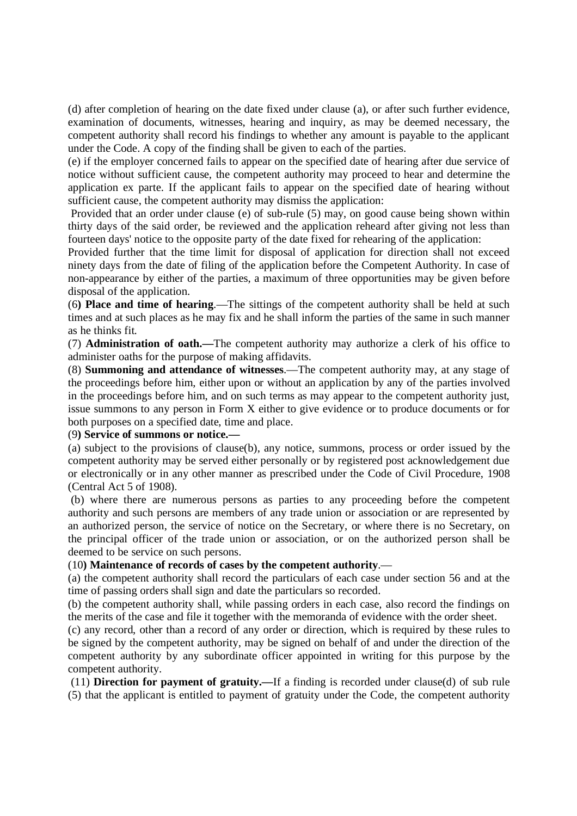(d) after completion of hearing on the date fixed under clause (a), or after such further evidence, examination of documents, witnesses, hearing and inquiry, as may be deemed necessary, the competent authority shall record his findings to whether any amount is payable to the applicant under the Code. A copy of the finding shall be given to each of the parties.

(e) if the employer concerned fails to appear on the specified date of hearing after due service of notice without sufficient cause, the competent authority may proceed to hear and determine the application ex parte. If the applicant fails to appear on the specified date of hearing without sufficient cause, the competent authority may dismiss the application:

Provided that an order under clause (e) of sub-rule (5) may, on good cause being shown within thirty days of the said order, be reviewed and the application reheard after giving not less than fourteen days' notice to the opposite party of the date fixed for rehearing of the application:

Provided further that the time limit for disposal of application for direction shall not exceed ninety days from the date of filing of the application before the Competent Authority. In case of non-appearance by either of the parties, a maximum of three opportunities may be given before disposal of the application.

(6**) Place and time of hearing**.—The sittings of the competent authority shall be held at such times and at such places as he may fix and he shall inform the parties of the same in such manner as he thinks fit.

(7) **Administration of oath.—**The competent authority may authorize a clerk of his office to administer oaths for the purpose of making affidavits.

(8) **Summoning and attendance of witnesses**.—The competent authority may, at any stage of the proceedings before him, either upon or without an application by any of the parties involved in the proceedings before him, and on such terms as may appear to the competent authority just, issue summons to any person in Form X either to give evidence or to produce documents or for both purposes on a specified date, time and place.

# (9**) Service of summons or notice.—**

(a) subject to the provisions of clause(b), any notice, summons, process or order issued by the competent authority may be served either personally or by registered post acknowledgement due or electronically or in any other manner as prescribed under the Code of Civil Procedure, 1908 (Central Act 5 of 1908).

(b) where there are numerous persons as parties to any proceeding before the competent authority and such persons are members of any trade union or association or are represented by an authorized person, the service of notice on the Secretary, or where there is no Secretary, on the principal officer of the trade union or association, or on the authorized person shall be deemed to be service on such persons.

### (10**) Maintenance of records of cases by the competent authority**.—

(a) the competent authority shall record the particulars of each case under section 56 and at the time of passing orders shall sign and date the particulars so recorded.

(b) the competent authority shall, while passing orders in each case, also record the findings on the merits of the case and file it together with the memoranda of evidence with the order sheet.

(c) any record, other than a record of any order or direction, which is required by these rules to be signed by the competent authority, may be signed on behalf of and under the direction of the competent authority by any subordinate officer appointed in writing for this purpose by the competent authority.

(11) **Direction for payment of gratuity.—**If a finding is recorded under clause(d) of sub rule (5) that the applicant is entitled to payment of gratuity under the Code, the competent authority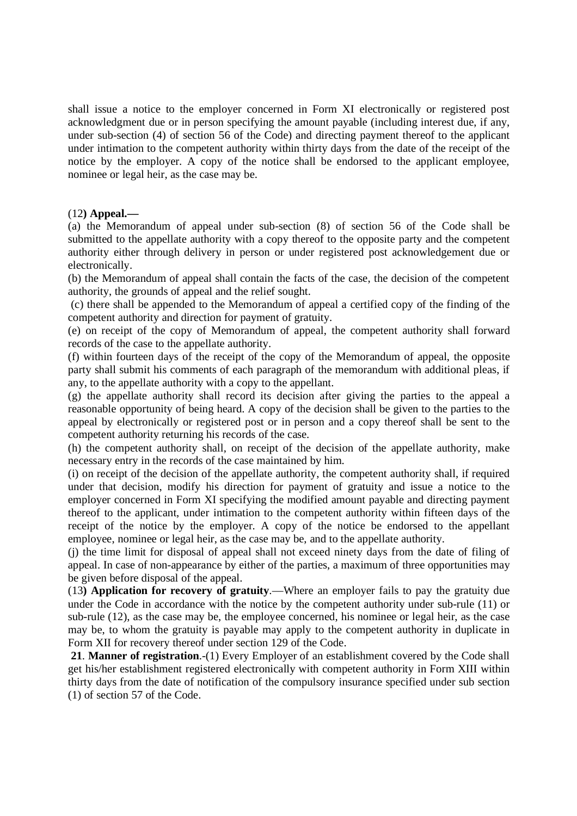shall issue a notice to the employer concerned in Form XI electronically or registered post acknowledgment due or in person specifying the amount payable (including interest due, if any, under sub-section (4) of section 56 of the Code) and directing payment thereof to the applicant under intimation to the competent authority within thirty days from the date of the receipt of the notice by the employer. A copy of the notice shall be endorsed to the applicant employee, nominee or legal heir, as the case may be.

### (12**) Appeal.—**

(a) the Memorandum of appeal under sub-section (8) of section 56 of the Code shall be submitted to the appellate authority with a copy thereof to the opposite party and the competent authority either through delivery in person or under registered post acknowledgement due or electronically.

(b) the Memorandum of appeal shall contain the facts of the case, the decision of the competent authority, the grounds of appeal and the relief sought.

(c) there shall be appended to the Memorandum of appeal a certified copy of the finding of the competent authority and direction for payment of gratuity.

(e) on receipt of the copy of Memorandum of appeal, the competent authority shall forward records of the case to the appellate authority.

(f) within fourteen days of the receipt of the copy of the Memorandum of appeal, the opposite party shall submit his comments of each paragraph of the memorandum with additional pleas, if any, to the appellate authority with a copy to the appellant.

(g) the appellate authority shall record its decision after giving the parties to the appeal a reasonable opportunity of being heard. A copy of the decision shall be given to the parties to the appeal by electronically or registered post or in person and a copy thereof shall be sent to the competent authority returning his records of the case.

(h) the competent authority shall, on receipt of the decision of the appellate authority, make necessary entry in the records of the case maintained by him.

(i) on receipt of the decision of the appellate authority, the competent authority shall, if required under that decision, modify his direction for payment of gratuity and issue a notice to the employer concerned in Form XI specifying the modified amount payable and directing payment thereof to the applicant, under intimation to the competent authority within fifteen days of the receipt of the notice by the employer. A copy of the notice be endorsed to the appellant employee, nominee or legal heir, as the case may be, and to the appellate authority.

(j) the time limit for disposal of appeal shall not exceed ninety days from the date of filing of appeal. In case of non-appearance by either of the parties, a maximum of three opportunities may be given before disposal of the appeal.

(13**) Application for recovery of gratuity**.—Where an employer fails to pay the gratuity due under the Code in accordance with the notice by the competent authority under sub-rule (11) or sub-rule (12), as the case may be, the employee concerned, his nominee or legal heir, as the case may be, to whom the gratuity is payable may apply to the competent authority in duplicate in Form XII for recovery thereof under section 129 of the Code.

**21**. **Manner of registration**.-(1) Every Employer of an establishment covered by the Code shall get his/her establishment registered electronically with competent authority in Form XIII within thirty days from the date of notification of the compulsory insurance specified under sub section (1) of section 57 of the Code.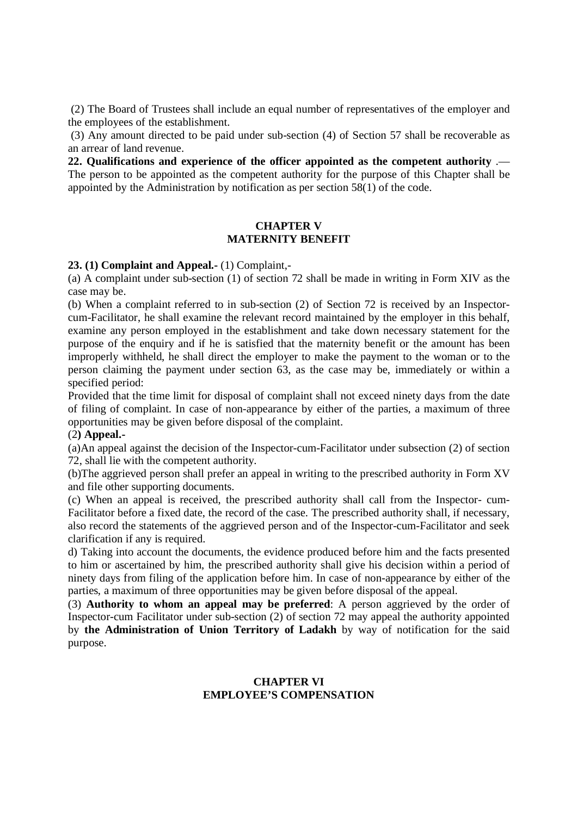(2) The Board of Trustees shall include an equal number of representatives of the employer and the employees of the establishment.

(3) Any amount directed to be paid under sub-section (4) of Section 57 shall be recoverable as an arrear of land revenue.

**22. Qualifications and experience of the officer appointed as the competent authority** .— The person to be appointed as the competent authority for the purpose of this Chapter shall be appointed by the Administration by notification as per section 58(1) of the code.

### **CHAPTER V MATERNITY BENEFIT**

**23. (1) Complaint and Appeal.-** (1) Complaint,-

(a) A complaint under sub-section (1) of section 72 shall be made in writing in Form XIV as the case may be.

(b) When a complaint referred to in sub-section (2) of Section 72 is received by an Inspectorcum-Facilitator, he shall examine the relevant record maintained by the employer in this behalf, examine any person employed in the establishment and take down necessary statement for the purpose of the enquiry and if he is satisfied that the maternity benefit or the amount has been improperly withheld, he shall direct the employer to make the payment to the woman or to the person claiming the payment under section 63, as the case may be, immediately or within a specified period:

Provided that the time limit for disposal of complaint shall not exceed ninety days from the date of filing of complaint. In case of non-appearance by either of the parties, a maximum of three opportunities may be given before disposal of the complaint.

### (2**) Appeal.-**

(a)An appeal against the decision of the Inspector-cum-Facilitator under subsection (2) of section 72, shall lie with the competent authority.

(b)The aggrieved person shall prefer an appeal in writing to the prescribed authority in Form XV and file other supporting documents.

(c) When an appeal is received, the prescribed authority shall call from the Inspector- cum-Facilitator before a fixed date, the record of the case. The prescribed authority shall, if necessary, also record the statements of the aggrieved person and of the Inspector-cum-Facilitator and seek clarification if any is required.

d) Taking into account the documents, the evidence produced before him and the facts presented to him or ascertained by him, the prescribed authority shall give his decision within a period of ninety days from filing of the application before him. In case of non-appearance by either of the parties, a maximum of three opportunities may be given before disposal of the appeal.

(3) **Authority to whom an appeal may be preferred**: A person aggrieved by the order of Inspector-cum Facilitator under sub-section (2) of section 72 may appeal the authority appointed by **the Administration of Union Territory of Ladakh** by way of notification for the said purpose.

# **CHAPTER VI EMPLOYEE'S COMPENSATION**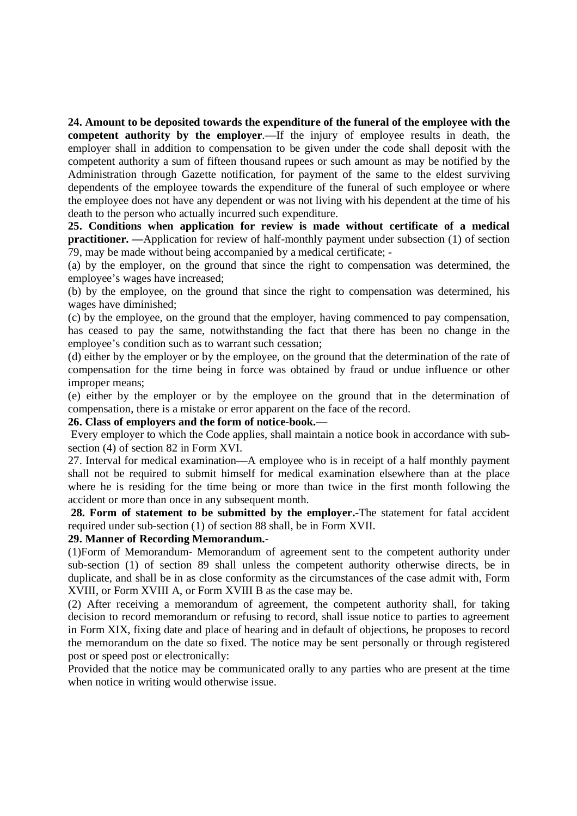**24. Amount to be deposited towards the expenditure of the funeral of the employee with the competent authority by the employer.**—If the injury of employee results in death, the employer shall in addition to compensation to be given under the code shall deposit with the competent authority a sum of fifteen thousand rupees or such amount as may be notified by the Administration through Gazette notification, for payment of the same to the eldest surviving dependents of the employee towards the expenditure of the funeral of such employee or where the employee does not have any dependent or was not living with his dependent at the time of his death to the person who actually incurred such expenditure.

**25. Conditions when application for review is made without certificate of a medical practitioner.** —Application for review of half-monthly payment under subsection (1) of section 79, may be made without being accompanied by a medical certificate; -

(a) by the employer, on the ground that since the right to compensation was determined, the employee's wages have increased;

(b) by the employee, on the ground that since the right to compensation was determined, his wages have diminished;

(c) by the employee, on the ground that the employer, having commenced to pay compensation, has ceased to pay the same, notwithstanding the fact that there has been no change in the employee's condition such as to warrant such cessation;

(d) either by the employer or by the employee, on the ground that the determination of the rate of compensation for the time being in force was obtained by fraud or undue influence or other improper means;

(e) either by the employer or by the employee on the ground that in the determination of compensation, there is a mistake or error apparent on the face of the record.

#### **26. Class of employers and the form of notice-book.—**

Every employer to which the Code applies, shall maintain a notice book in accordance with subsection (4) of section 82 in Form XVI.

27. Interval for medical examination—A employee who is in receipt of a half monthly payment shall not be required to submit himself for medical examination elsewhere than at the place where he is residing for the time being or more than twice in the first month following the accident or more than once in any subsequent month.

**28. Form of statement to be submitted by the employer.-**The statement for fatal accident required under sub-section (1) of section 88 shall, be in Form XVII.

# **29. Manner of Recording Memorandum.-**

(1)Form of Memorandum- Memorandum of agreement sent to the competent authority under sub-section (1) of section 89 shall unless the competent authority otherwise directs, be in duplicate, and shall be in as close conformity as the circumstances of the case admit with, Form XVIII, or Form XVIII A, or Form XVIII B as the case may be.

(2) After receiving a memorandum of agreement, the competent authority shall, for taking decision to record memorandum or refusing to record, shall issue notice to parties to agreement in Form XIX, fixing date and place of hearing and in default of objections, he proposes to record the memorandum on the date so fixed. The notice may be sent personally or through registered post or speed post or electronically:

Provided that the notice may be communicated orally to any parties who are present at the time when notice in writing would otherwise issue.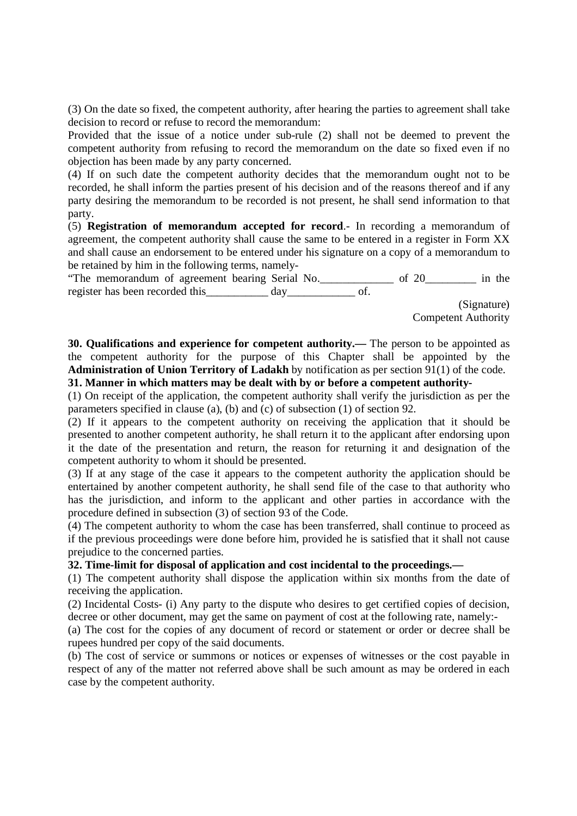(3) On the date so fixed, the competent authority, after hearing the parties to agreement shall take decision to record or refuse to record the memorandum:

Provided that the issue of a notice under sub-rule (2) shall not be deemed to prevent the competent authority from refusing to record the memorandum on the date so fixed even if no objection has been made by any party concerned.

(4) If on such date the competent authority decides that the memorandum ought not to be recorded, he shall inform the parties present of his decision and of the reasons thereof and if any party desiring the memorandum to be recorded is not present, he shall send information to that party.

(5) **Registration of memorandum accepted for record**.- In recording a memorandum of agreement, the competent authority shall cause the same to be entered in a register in Form XX and shall cause an endorsement to be entered under his signature on a copy of a memorandum to be retained by him in the following terms, namely-

"The memorandum of agreement bearing Serial No. \_\_\_\_\_\_\_\_\_\_\_\_\_ of 20\_\_\_\_\_\_\_\_\_ in the register has been recorded this\_\_\_\_\_\_\_\_\_ day\_\_\_\_\_\_\_\_\_\_\_ of.

(Signature) Competent Authority

**30. Qualifications and experience for competent authority.—** The person to be appointed as the competent authority for the purpose of this Chapter shall be appointed by the **Administration of Union Territory of Ladakh** by notification as per section 91(1) of the code.

**31. Manner in which matters may be dealt with by or before a competent authority-**

(1) On receipt of the application, the competent authority shall verify the jurisdiction as per the parameters specified in clause (a), (b) and (c) of subsection (1) of section 92.

(2) If it appears to the competent authority on receiving the application that it should be presented to another competent authority, he shall return it to the applicant after endorsing upon it the date of the presentation and return, the reason for returning it and designation of the competent authority to whom it should be presented.

(3) If at any stage of the case it appears to the competent authority the application should be entertained by another competent authority, he shall send file of the case to that authority who has the jurisdiction, and inform to the applicant and other parties in accordance with the procedure defined in subsection (3) of section 93 of the Code.

(4) The competent authority to whom the case has been transferred, shall continue to proceed as if the previous proceedings were done before him, provided he is satisfied that it shall not cause prejudice to the concerned parties.

**32. Time-limit for disposal of application and cost incidental to the proceedings.—**

(1) The competent authority shall dispose the application within six months from the date of receiving the application.

(2) Incidental Costs- (i) Any party to the dispute who desires to get certified copies of decision, decree or other document, may get the same on payment of cost at the following rate, namely:-

(a) The cost for the copies of any document of record or statement or order or decree shall be rupees hundred per copy of the said documents.

(b) The cost of service or summons or notices or expenses of witnesses or the cost payable in respect of any of the matter not referred above shall be such amount as may be ordered in each case by the competent authority.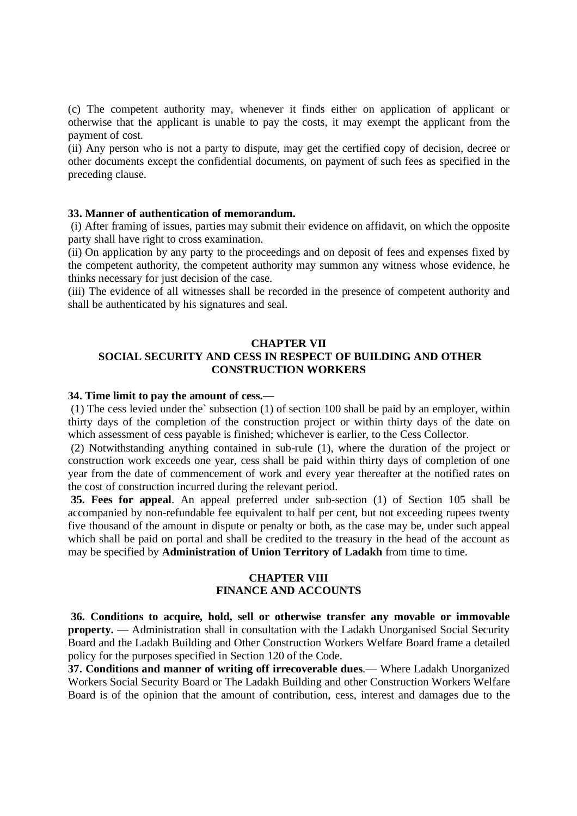(c) The competent authority may, whenever it finds either on application of applicant or otherwise that the applicant is unable to pay the costs, it may exempt the applicant from the payment of cost.

(ii) Any person who is not a party to dispute, may get the certified copy of decision, decree or other documents except the confidential documents, on payment of such fees as specified in the preceding clause.

#### **33. Manner of authentication of memorandum.**

(i) After framing of issues, parties may submit their evidence on affidavit, on which the opposite party shall have right to cross examination.

(ii) On application by any party to the proceedings and on deposit of fees and expenses fixed by the competent authority, the competent authority may summon any witness whose evidence, he thinks necessary for just decision of the case.

(iii) The evidence of all witnesses shall be recorded in the presence of competent authority and shall be authenticated by his signatures and seal.

### **CHAPTER VII**

### **SOCIAL SECURITY AND CESS IN RESPECT OF BUILDING AND OTHER CONSTRUCTION WORKERS**

#### **34. Time limit to pay the amount of cess.—**

(1) The cess levied under the` subsection (1) of section 100 shall be paid by an employer, within thirty days of the completion of the construction project or within thirty days of the date on which assessment of cess payable is finished; whichever is earlier, to the Cess Collector.

(2) Notwithstanding anything contained in sub-rule (1), where the duration of the project or construction work exceeds one year, cess shall be paid within thirty days of completion of one year from the date of commencement of work and every year thereafter at the notified rates on the cost of construction incurred during the relevant period.

**35. Fees for appeal**. An appeal preferred under sub-section (1) of Section 105 shall be accompanied by non-refundable fee equivalent to half per cent, but not exceeding rupees twenty five thousand of the amount in dispute or penalty or both, as the case may be, under such appeal which shall be paid on portal and shall be credited to the treasury in the head of the account as may be specified by **Administration of Union Territory of Ladakh** from time to time.

### **CHAPTER VIII FINANCE AND ACCOUNTS**

**36. Conditions to acquire, hold, sell or otherwise transfer any movable or immovable property.** — Administration shall in consultation with the Ladakh Unorganised Social Security Board and the Ladakh Building and Other Construction Workers Welfare Board frame a detailed policy for the purposes specified in Section 120 of the Code.

**37. Conditions and manner of writing off irrecoverable dues**.— Where Ladakh Unorganized Workers Social Security Board or The Ladakh Building and other Construction Workers Welfare Board is of the opinion that the amount of contribution, cess, interest and damages due to the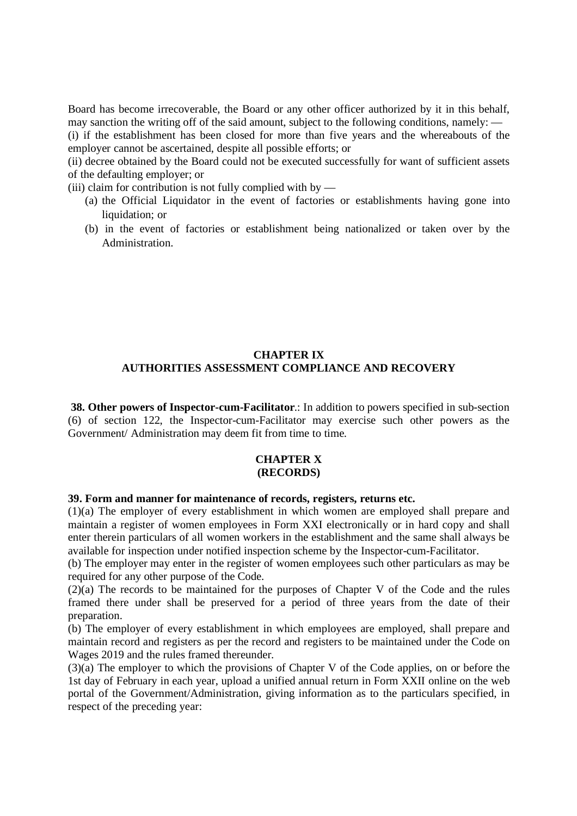Board has become irrecoverable, the Board or any other officer authorized by it in this behalf, may sanction the writing off of the said amount, subject to the following conditions, namely: —

(i) if the establishment has been closed for more than five years and the whereabouts of the employer cannot be ascertained, despite all possible efforts; or

(ii) decree obtained by the Board could not be executed successfully for want of sufficient assets of the defaulting employer; or

(iii) claim for contribution is not fully complied with by  $-$ 

- (a) the Official Liquidator in the event of factories or establishments having gone into liquidation; or
- (b) in the event of factories or establishment being nationalized or taken over by the Administration.

### **CHAPTER IX AUTHORITIES ASSESSMENT COMPLIANCE AND RECOVERY**

**38. Other powers of Inspector-cum-Facilitator**.: In addition to powers specified in sub-section (6) of section 122, the Inspector-cum-Facilitator may exercise such other powers as the Government/ Administration may deem fit from time to time.

#### **CHAPTER X (RECORDS)**

#### **39. Form and manner for maintenance of records, registers, returns etc.**

(1)(a) The employer of every establishment in which women are employed shall prepare and maintain a register of women employees in Form XXI electronically or in hard copy and shall enter therein particulars of all women workers in the establishment and the same shall always be available for inspection under notified inspection scheme by the Inspector-cum-Facilitator.

(b) The employer may enter in the register of women employees such other particulars as may be required for any other purpose of the Code.

 $(2)(a)$  The records to be maintained for the purposes of Chapter V of the Code and the rules framed there under shall be preserved for a period of three years from the date of their preparation.

(b) The employer of every establishment in which employees are employed, shall prepare and maintain record and registers as per the record and registers to be maintained under the Code on Wages 2019 and the rules framed thereunder.

(3)(a) The employer to which the provisions of Chapter V of the Code applies, on or before the 1st day of February in each year, upload a unified annual return in Form XXII online on the web portal of the Government/Administration, giving information as to the particulars specified, in respect of the preceding year: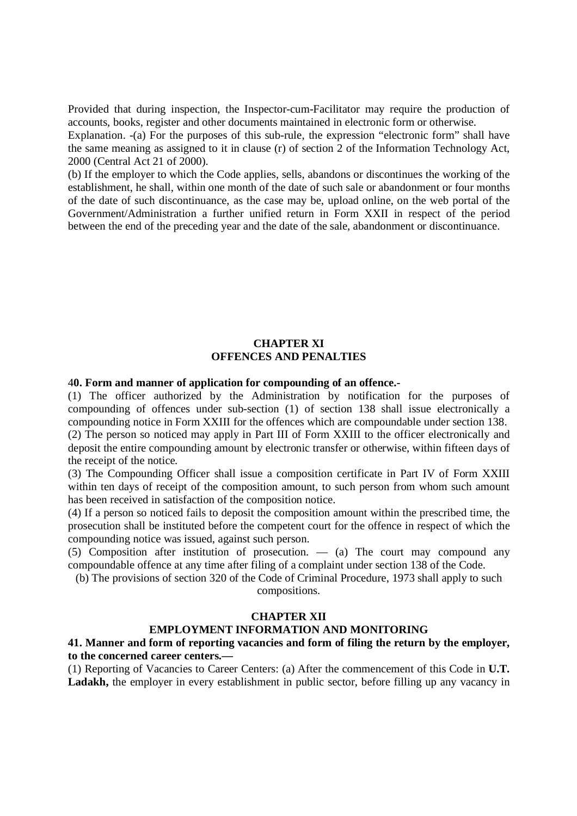Provided that during inspection, the Inspector-cum-Facilitator may require the production of accounts, books, register and other documents maintained in electronic form or otherwise.

Explanation. -(a) For the purposes of this sub-rule, the expression "electronic form" shall have the same meaning as assigned to it in clause (r) of section 2 of the Information Technology Act, 2000 (Central Act 21 of 2000).

(b) If the employer to which the Code applies, sells, abandons or discontinues the working of the establishment, he shall, within one month of the date of such sale or abandonment or four months of the date of such discontinuance, as the case may be, upload online, on the web portal of the Government/Administration a further unified return in Form XXII in respect of the period between the end of the preceding year and the date of the sale, abandonment or discontinuance.

# **CHAPTER XI OFFENCES AND PENALTIES**

### 4**0. Form and manner of application for compounding of an offence.-**

(1) The officer authorized by the Administration by notification for the purposes of compounding of offences under sub-section (1) of section 138 shall issue electronically a compounding notice in Form XXIII for the offences which are compoundable under section 138. (2) The person so noticed may apply in Part III of Form XXIII to the officer electronically and deposit the entire compounding amount by electronic transfer or otherwise, within fifteen days of the receipt of the notice.

(3) The Compounding Officer shall issue a composition certificate in Part IV of Form XXIII within ten days of receipt of the composition amount, to such person from whom such amount has been received in satisfaction of the composition notice.

(4) If a person so noticed fails to deposit the composition amount within the prescribed time, the prosecution shall be instituted before the competent court for the offence in respect of which the compounding notice was issued, against such person.

(5) Composition after institution of prosecution. — (a) The court may compound any compoundable offence at any time after filing of a complaint under section 138 of the Code.

(b) The provisions of section 320 of the Code of Criminal Procedure, 1973 shall apply to such compositions.

#### **CHAPTER XII**

#### **EMPLOYMENT INFORMATION AND MONITORING**

**41. Manner and form of reporting vacancies and form of filing the return by the employer, to the concerned career centers.—**

(1) Reporting of Vacancies to Career Centers: (a) After the commencement of this Code in **U.T. Ladakh,** the employer in every establishment in public sector, before filling up any vacancy in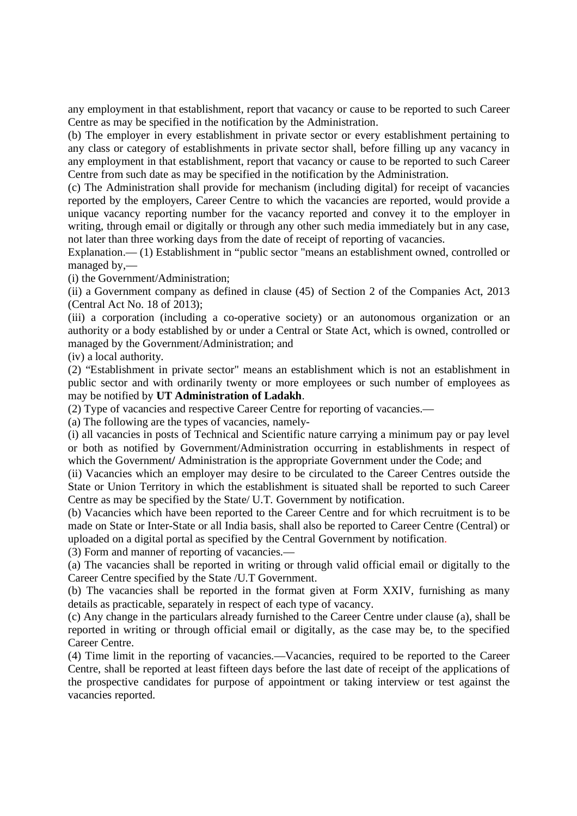any employment in that establishment, report that vacancy or cause to be reported to such Career Centre as may be specified in the notification by the Administration.

(b) The employer in every establishment in private sector or every establishment pertaining to any class or category of establishments in private sector shall, before filling up any vacancy in any employment in that establishment, report that vacancy or cause to be reported to such Career Centre from such date as may be specified in the notification by the Administration.

(c) The Administration shall provide for mechanism (including digital) for receipt of vacancies reported by the employers, Career Centre to which the vacancies are reported, would provide a unique vacancy reporting number for the vacancy reported and convey it to the employer in writing, through email or digitally or through any other such media immediately but in any case, not later than three working days from the date of receipt of reporting of vacancies.

Explanation.— (1) Establishment in "public sector "means an establishment owned, controlled or managed by,—

(i) the Government/Administration;

(ii) a Government company as defined in clause (45) of Section 2 of the Companies Act, 2013 (Central Act No. 18 of 2013);

(iii) a corporation (including a co-operative society) or an autonomous organization or an authority or a body established by or under a Central or State Act, which is owned, controlled or managed by the Government/Administration; and

(iv) a local authority.

(2) "Establishment in private sector" means an establishment which is not an establishment in public sector and with ordinarily twenty or more employees or such number of employees as may be notified by **UT Administration of Ladakh**.

(2) Type of vacancies and respective Career Centre for reporting of vacancies.—

(a) The following are the types of vacancies, namely-

(i) all vacancies in posts of Technical and Scientific nature carrying a minimum pay or pay level or both as notified by Government/Administration occurring in establishments in respect of which the Government/ Administration is the appropriate Government under the Code; and

(ii) Vacancies which an employer may desire to be circulated to the Career Centres outside the State or Union Territory in which the establishment is situated shall be reported to such Career Centre as may be specified by the State/ U.T. Government by notification.

(b) Vacancies which have been reported to the Career Centre and for which recruitment is to be made on State or Inter-State or all India basis, shall also be reported to Career Centre (Central) or uploaded on a digital portal as specified by the Central Government by notification.

(3) Form and manner of reporting of vacancies.—

(a) The vacancies shall be reported in writing or through valid official email or digitally to the Career Centre specified by the State /U.T Government.

(b) The vacancies shall be reported in the format given at Form XXIV, furnishing as many details as practicable, separately in respect of each type of vacancy.

(c) Any change in the particulars already furnished to the Career Centre under clause (a), shall be reported in writing or through official email or digitally, as the case may be, to the specified Career Centre.

(4) Time limit in the reporting of vacancies.—Vacancies, required to be reported to the Career Centre, shall be reported at least fifteen days before the last date of receipt of the applications of the prospective candidates for purpose of appointment or taking interview or test against the vacancies reported.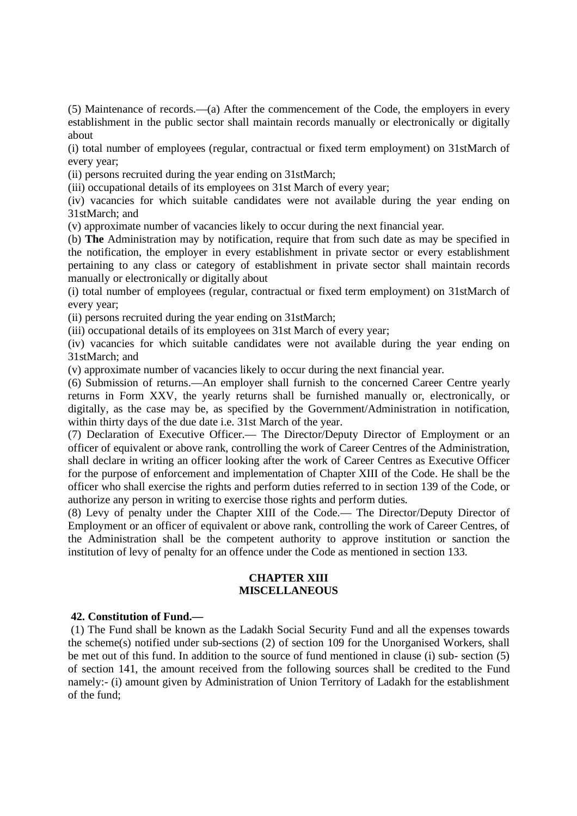(5) Maintenance of records.—(a) After the commencement of the Code, the employers in every establishment in the public sector shall maintain records manually or electronically or digitally about

(i) total number of employees (regular, contractual or fixed term employment) on 31stMarch of every year;

(ii) persons recruited during the year ending on 31stMarch;

(iii) occupational details of its employees on 31st March of every year;

(iv) vacancies for which suitable candidates were not available during the year ending on 31stMarch; and

(v) approximate number of vacancies likely to occur during the next financial year.

(b) **The** Administration may by notification, require that from such date as may be specified in the notification, the employer in every establishment in private sector or every establishment pertaining to any class or category of establishment in private sector shall maintain records manually or electronically or digitally about

(i) total number of employees (regular, contractual or fixed term employment) on 31stMarch of every year;

(ii) persons recruited during the year ending on 31stMarch;

(iii) occupational details of its employees on 31st March of every year;

(iv) vacancies for which suitable candidates were not available during the year ending on 31stMarch; and

(v) approximate number of vacancies likely to occur during the next financial year.

(6) Submission of returns.—An employer shall furnish to the concerned Career Centre yearly returns in Form XXV, the yearly returns shall be furnished manually or, electronically, or digitally, as the case may be, as specified by the Government/Administration in notification, within thirty days of the due date i.e. 31st March of the year.

(7) Declaration of Executive Officer.— The Director/Deputy Director of Employment or an officer of equivalent or above rank, controlling the work of Career Centres of the Administration, shall declare in writing an officer looking after the work of Career Centres as Executive Officer for the purpose of enforcement and implementation of Chapter XIII of the Code. He shall be the officer who shall exercise the rights and perform duties referred to in section 139 of the Code, or authorize any person in writing to exercise those rights and perform duties.

(8) Levy of penalty under the Chapter XIII of the Code.— The Director/Deputy Director of Employment or an officer of equivalent or above rank, controlling the work of Career Centres, of the Administration shall be the competent authority to approve institution or sanction the institution of levy of penalty for an offence under the Code as mentioned in section 133.

#### **CHAPTER XIII MISCELLANEOUS**

#### **42. Constitution of Fund.—**

(1) The Fund shall be known as the Ladakh Social Security Fund and all the expenses towards the scheme(s) notified under sub-sections (2) of section 109 for the Unorganised Workers, shall be met out of this fund. In addition to the source of fund mentioned in clause (i) sub- section (5) of section 141, the amount received from the following sources shall be credited to the Fund namely:- (i) amount given by Administration of Union Territory of Ladakh for the establishment of the fund;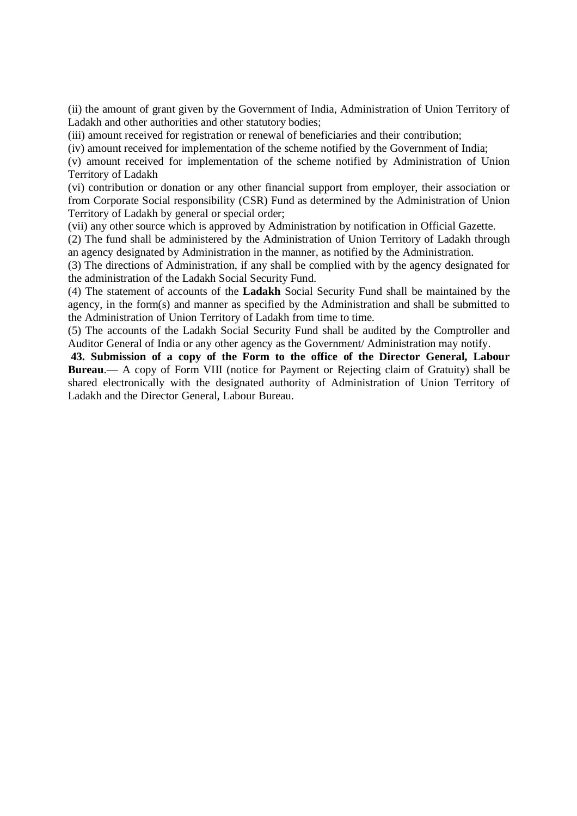(ii) the amount of grant given by the Government of India, Administration of Union Territory of Ladakh and other authorities and other statutory bodies;

(iii) amount received for registration or renewal of beneficiaries and their contribution;

(iv) amount received for implementation of the scheme notified by the Government of India;

(v) amount received for implementation of the scheme notified by Administration of Union Territory of Ladakh

(vi) contribution or donation or any other financial support from employer, their association or from Corporate Social responsibility (CSR) Fund as determined by the Administration of Union Territory of Ladakh by general or special order;

(vii) any other source which is approved by Administration by notification in Official Gazette.

(2) The fund shall be administered by the Administration of Union Territory of Ladakh through an agency designated by Administration in the manner, as notified by the Administration.

(3) The directions of Administration, if any shall be complied with by the agency designated for the administration of the Ladakh Social Security Fund.

(4) The statement of accounts of the **Ladakh** Social Security Fund shall be maintained by the agency, in the form(s) and manner as specified by the Administration and shall be submitted to the Administration of Union Territory of Ladakh from time to time.

(5) The accounts of the Ladakh Social Security Fund shall be audited by the Comptroller and Auditor General of India or any other agency as the Government/ Administration may notify.

**43. Submission of a copy of the Form to the office of the Director General, Labour Bureau**.— A copy of Form VIII (notice for Payment or Rejecting claim of Gratuity) shall be shared electronically with the designated authority of Administration of Union Territory of Ladakh and the Director General, Labour Bureau.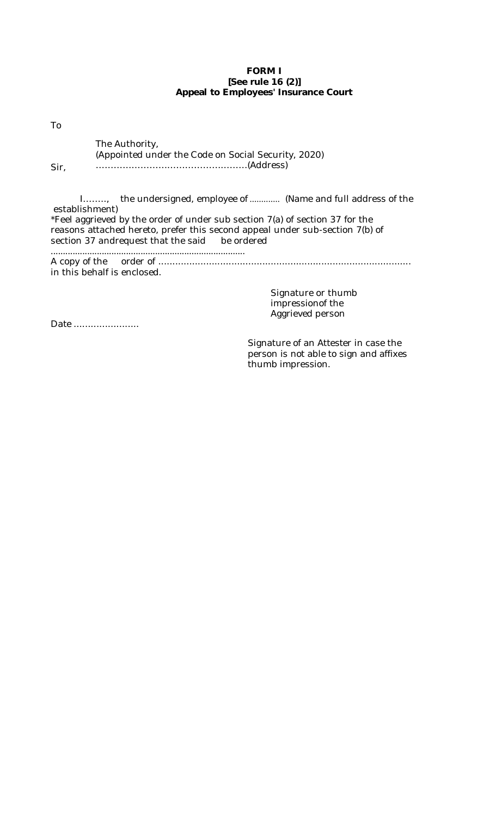### **FORM I [See rule 16 (2)] Appeal to Employees' Insurance Court**

To

The Authority, (Appointed under the Code on Social Security, 2020) ……………………………………………(Address)

Sir,

I…….., the undersigned, employee of ............. (Name and full address of the establishment) \*Feel aggrieved by the order of under sub section 7(a) of section 37 for the reasons attached hereto, prefer this second appeal under sub-section 7(b) of section 37 andrequest that the said be ordered ................................................................................

A copy of the order of .......................................................................................... in this behalf is enclosed.

> Signature or thumb impressionof the Aggrieved person

Date ........................

Signature of an Attester in case the person is not able to sign and affixes thumb impression.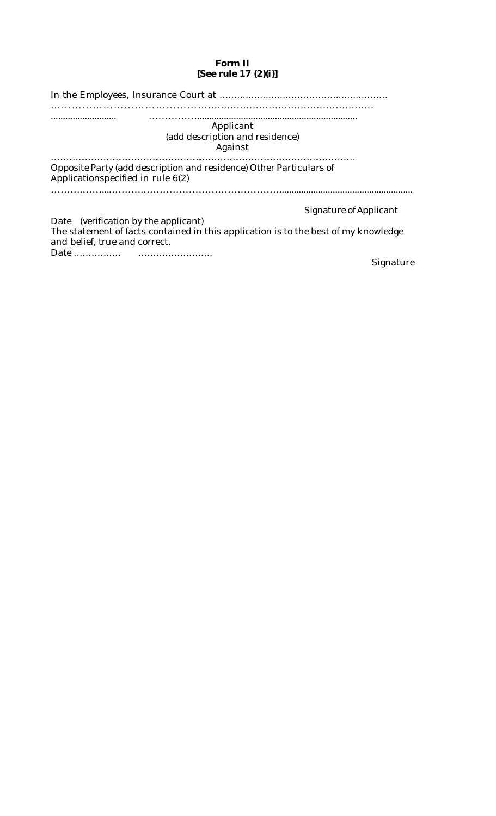# **Form II [See rule 17 (2)(i)]**

| Applicant<br>(add description and residence)<br>Against                                                                                                              |                        |
|----------------------------------------------------------------------------------------------------------------------------------------------------------------------|------------------------|
| Opposite Party (add description and residence) Other Particulars of<br>Applicationspecified in rule 6(2)                                                             |                        |
| Date (verification by the applicant)<br>The statement of facts contained in this application is to the best of my knowledge<br>and belief, true and correct.<br>Date | Signature of Applicant |

Signature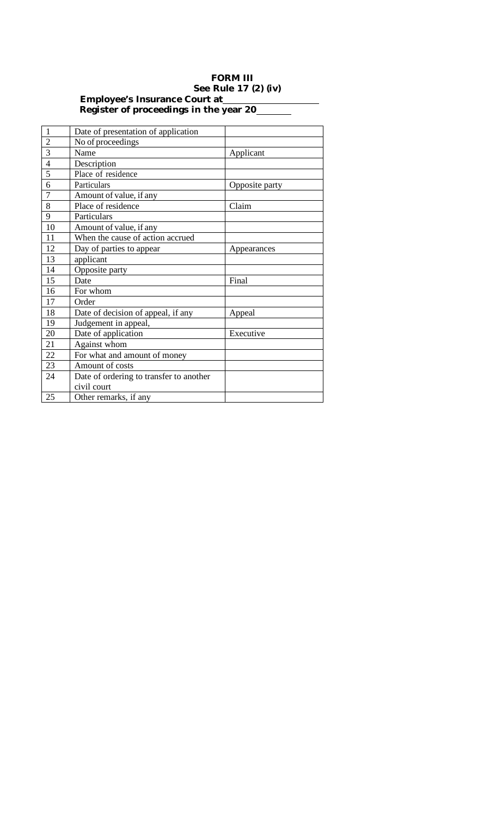### **FORM III See Rule 17 (2) (iv) Employee's Insurance Court at Register of proceedings in the year 20**

| $\mathbf{1}$   | Date of presentation of application     |                |
|----------------|-----------------------------------------|----------------|
| $\overline{2}$ | No of proceedings                       |                |
| 3              | Name                                    | Applicant      |
| $\overline{4}$ | Description                             |                |
| 5              | Place of residence                      |                |
| 6              | Particulars                             | Opposite party |
| $\overline{7}$ | Amount of value, if any                 |                |
| 8              | Place of residence                      | Claim          |
| 9              | Particulars                             |                |
| 10             | Amount of value, if any                 |                |
| 11             | When the cause of action accrued        |                |
| 12             | Day of parties to appear                | Appearances    |
| 13             | applicant                               |                |
| 14             | Opposite party                          |                |
| 15             | Date                                    | Final          |
| 16             | For whom                                |                |
| 17             | Order                                   |                |
| 18             | Date of decision of appeal, if any      | Appeal         |
| 19             | Judgement in appeal,                    |                |
| 20             | Date of application                     | Executive      |
| 21             | Against whom                            |                |
| 22             | For what and amount of money            |                |
| 23             | Amount of costs                         |                |
| 24             | Date of ordering to transfer to another |                |
|                | civil court                             |                |
| 25             | Other remarks, if any                   |                |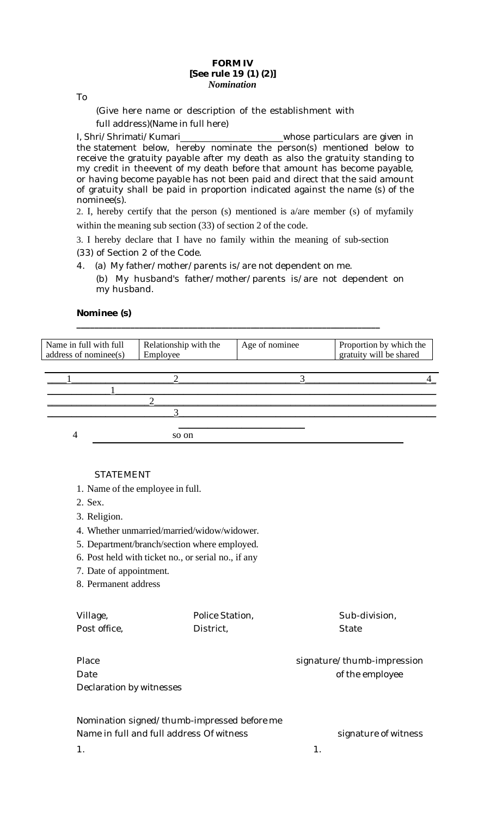#### **FORM IV [See rule 19 (1) (2)]** *Nomination*

To

(Give here name or description of the establishment with full address)(Name in full here)

I, Shri/Shrimati/Kumari \_\_\_\_\_\_\_\_\_\_\_\_\_\_\_\_\_\_\_\_\_\_\_whose particulars are given in the statement below, hereby nominate the person(s) mentioned below to receive the gratuity payable after my death as also the gratuity standing to my credit in theevent of my death before that amount has become payable, or having become payable has not been paid and direct that the said amount of gratuity shall be paid in proportion indicated against the name (s) of the nominee(s).

2. I, hereby certify that the person (s) mentioned is a/are member (s) of myfamily within the meaning sub section (33) of section 2 of the code.

3. I hereby declare that I have no family within the meaning of sub-section (33) of Section 2 of the Code.

**\_\_\_\_\_\_\_\_\_\_\_\_\_\_\_\_\_\_\_\_\_\_\_\_\_\_\_\_\_\_\_\_\_\_\_\_\_\_\_\_\_\_\_\_\_\_\_\_\_\_\_\_\_\_\_\_\_\_\_\_\_\_\_\_\_\_\_\_**

4. (a) My father/mother/parents is/are not dependent on me.

(b) My husband's father/mother/parents is/are not dependent on my husband.

# **Nominee (s)**

| Name in full with full<br>address of nominee(s) | Relationship with the<br>Employee | Age of nominee | Proportion by which the<br>gratuity will be shared |
|-------------------------------------------------|-----------------------------------|----------------|----------------------------------------------------|
|                                                 |                                   |                |                                                    |
|                                                 |                                   |                |                                                    |
|                                                 |                                   |                |                                                    |
|                                                 |                                   |                |                                                    |
|                                                 | so on                             |                |                                                    |

### STATEMENT

- 1. Name of the employee in full.
- 2. Sex.
- 3. Religion.
- 4. Whether unmarried/married/widow/widower.
- 5. Department/branch/section where employed.
- 6. Post held with ticket no., or serial no., if any
- 7. Date of appointment.
- 8. Permanent address

| Village,                 | Police Station, | Sub-division,              |
|--------------------------|-----------------|----------------------------|
| Post office,             | District,       | State                      |
| Place                    |                 | signature/thumb-impression |
|                          |                 |                            |
| Date                     |                 | of the employee            |
| Declaration by witnesses |                 |                            |

| Nomination signed/thumb-impressed before me |                      |
|---------------------------------------------|----------------------|
| Name in full and full address Of witness    | signature of witness |
|                                             |                      |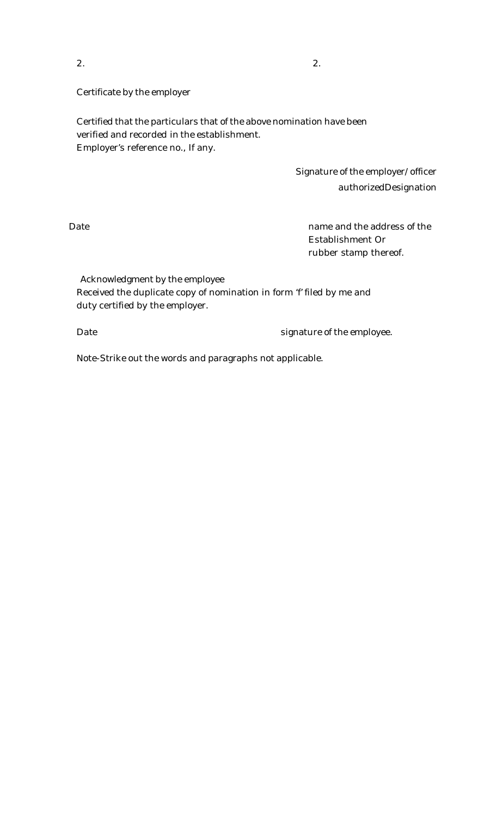$2.$ 

Certificate by the employer

Certified that the particulars that of the above nomination have been verified and recorded in the establishment. Employer's reference no., If any.

> Signature of the employer/officer authorizedDesignation

Date **name and the address of the** Establishment Or rubber stamp thereof.

Acknowledgment by the employee Received the duplicate copy of nomination in form 'f' filed by me and duty certified by the employer.

Date **State State State State State State State State State State State State State State State State State State State State State State State State State State State State State State State State State State State State** 

Note-Strike out the words and paragraphs not applicable.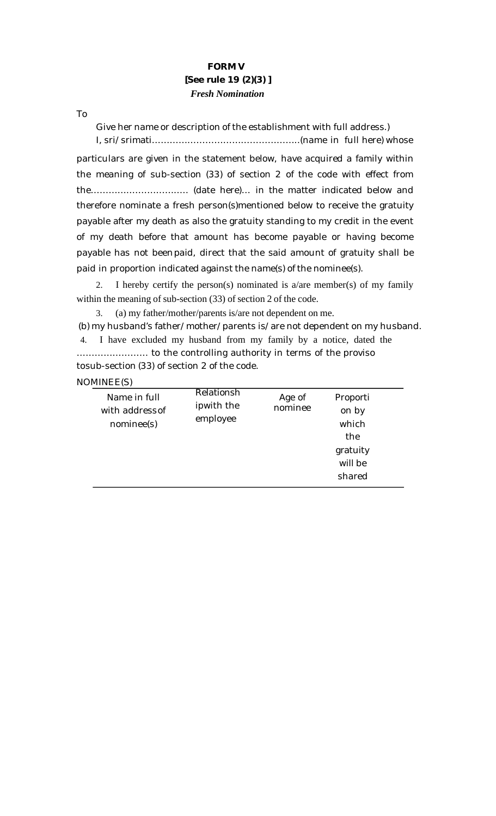# **FORM V [See rule 19 (2)(3) ]** *Fresh Nomination*

To

Give her name or description of the establishment with full address.) I, sri/srimati…………………………………………..(name in full here) whose

particulars are given in the statement below, have acquired a family within the meaning of sub-section (33) of section 2 of the code with effect from the………….……………….. (date here)… in the matter indicated below and therefore nominate a fresh person(s)mentioned below to receive the gratuity payable after my death as also the gratuity standing to my credit in the event of my death before that amount has become payable or having become payable has not beenpaid, direct that the said amount of gratuity shall be paid in proportion indicated against the name(s) of the nominee(s).

2. I hereby certify the person(s) nominated is  $a/are$  member(s) of my family within the meaning of sub-section (33) of section 2 of the code.

3. (a) my father/mother/parents is/are not dependent on me.

(b) my husband's father/mother/parents is/are not dependent on my husband. 4. I have excluded my husband from my family by a notice, dated the

…………………… to the controlling authority in terms of the proviso tosub-section (33) of section 2 of the code.

NOMINEE(S)

| Name in full<br>with address of<br>nominee(s) | Relationsh<br>ipwith the<br>employee | Age of<br>nominee | Proporti<br>on by<br>which<br>the<br>gratuity<br>will be<br>shared |  |
|-----------------------------------------------|--------------------------------------|-------------------|--------------------------------------------------------------------|--|
|                                               |                                      |                   |                                                                    |  |
|                                               |                                      |                   |                                                                    |  |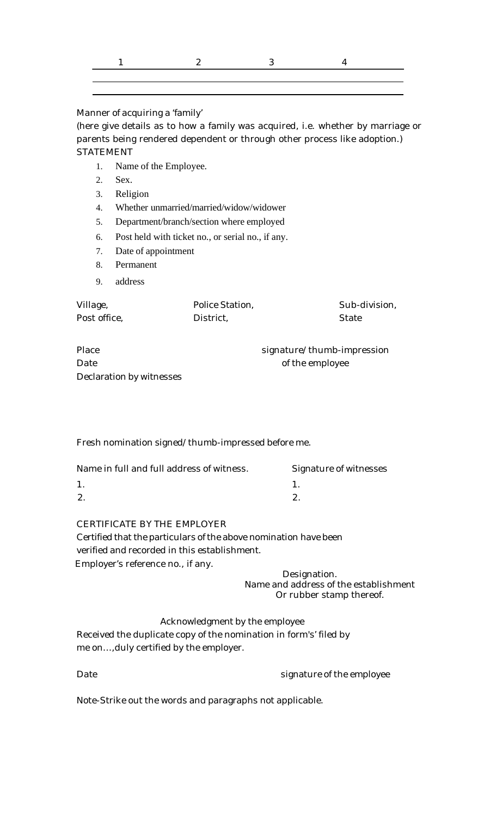Manner of acquiring a 'family'

(here give details as to how a family was acquired, i.e. whether by marriage or parents being rendered dependent or through other process like adoption.) STATEMENT

- 1. Name of the Employee.
- 2. Sex.
- 3. Religion
- 4. Whether unmarried/married/widow/widower
- 5. Department/branch/section where employed
- 6. Post held with ticket no., or serial no., if any.
- 7. Date of appointment
- 8. Permanent
- 9. address

| Village,     | Police Station, | Sub-division, |
|--------------|-----------------|---------------|
| Post office, | District,       | State         |

| Place                    |
|--------------------------|
| Date.                    |
| Declaration by witnesses |

signature/thumb-impression of the employee

Fresh nomination signed/thumb-impressed before me.

| Name in full and full address of witness. | Signature of witnesses |
|-------------------------------------------|------------------------|
|                                           |                        |
|                                           |                        |
|                                           |                        |

CERTIFICATE BY THE EMPLOYER

Certified that the particulars of the above nomination have been verified and recorded in this establishment. Employer's reference no., if any.

Designation. Name and address of the establishment Or rubber stamp thereof.

Acknowledgment by the employee Received the duplicate copy of the nomination in form's' filed by me on…,duly certified by the employer.

| Date | signature of the employee |
|------|---------------------------|
|      |                           |

Note-Strike out the words and paragraphs not applicable.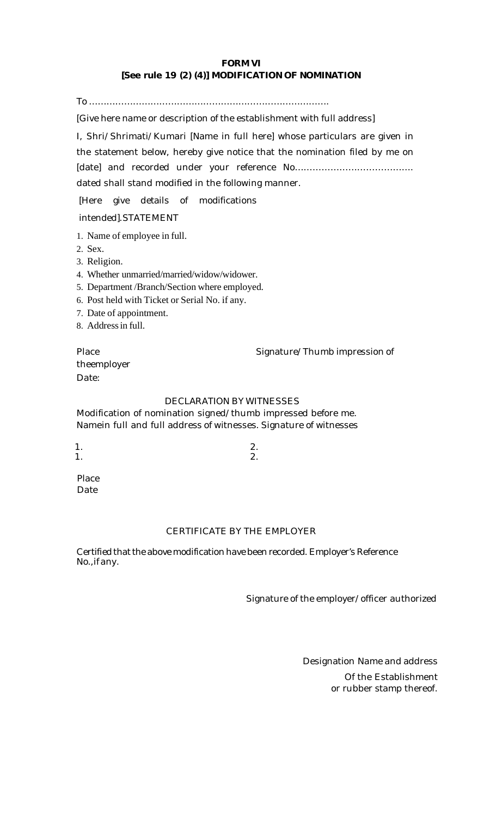# **FORM VI [See rule 19 (2) (4)] MODIFICATION OF NOMINATION**

To ……………………………………………………………………….

[Give here name or description of the establishment with full address]

I, Shri/Shrimati/Kumari [Name in full here] whose particulars are given in the statement below, hereby give notice that the nomination filed by me on [date] and recorded under your reference No…………………………………. dated shall stand modified in the following manner.

[Here give details of modifications

intended].STATEMENT

- 1. Name of employee in full.
- 2. Sex.
- 3. Religion.
- 4. Whether unmarried/married/widow/widower.
- 5. Department /Branch/Section where employed.
- 6. Post held with Ticket or Serial No. if any.
- 7. Date of appointment.
- 8. Address in full.

Place Signature/Thumb impression of

theemployer Date:

# DECLARATION BY WITNESSES

Modification of nomination signed/thumb impressed before me. Namein full and full address of witnesses. Signature of witnesses

 $1.$  2.  $1.$  2.

Place Date

# CERTIFICATE BY THE EMPLOYER

Certified that the above modification have been recorded. Employer's Reference No.,if any.

Signature of the employer/officer authorized

Designation Name and address Of the Establishment or rubber stamp thereof.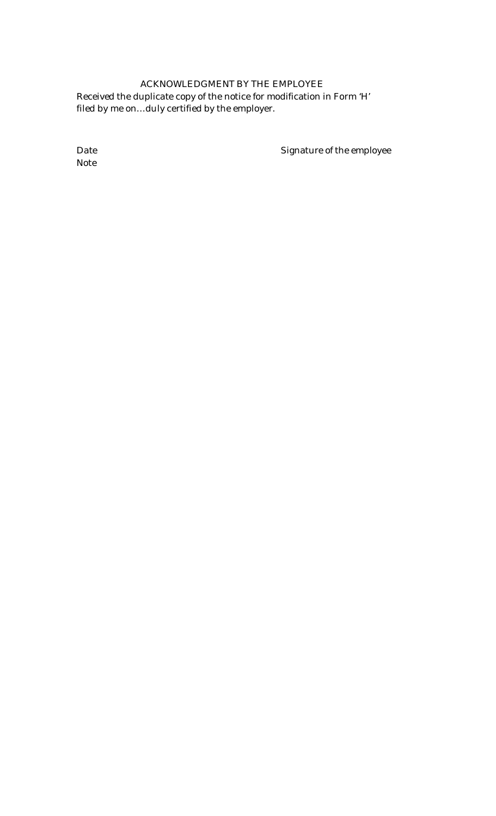# ACKNOWLEDGMENT BY THE EMPLOYEE Received the duplicate copy of the notice for modification in Form 'H' filed by me on…duly certified by the employer.

Note

Date **Signature of the employee**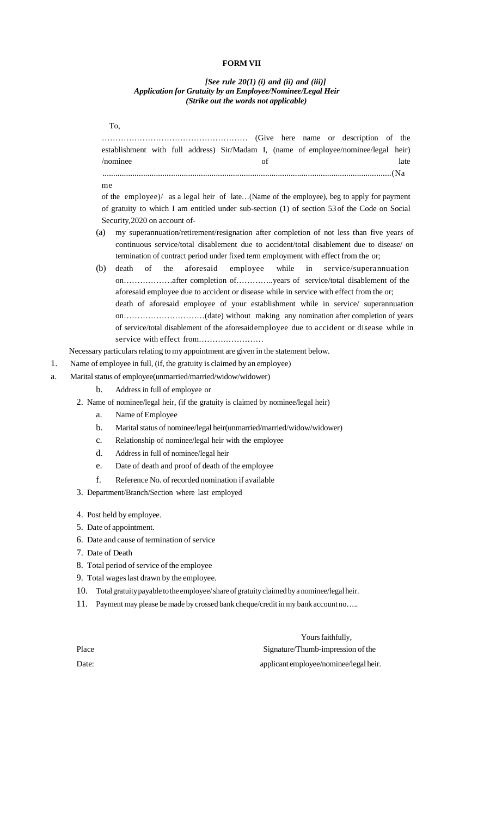#### **FORM VII**

#### *[See rule 20(1) (i) and (ii) and (iii)] Application for Gratuity by an Employee/Nominee/Legal Heir (Strike out the words not applicable)*

|    |                  | To,                                              |                                                                                                                                                                                                   |                        |
|----|------------------|--------------------------------------------------|---------------------------------------------------------------------------------------------------------------------------------------------------------------------------------------------------|------------------------|
|    |                  |                                                  | (Give here name or description of the                                                                                                                                                             |                        |
|    |                  |                                                  | establishment with full address) Sir/Madam I, (name of employee/nominee/legal heir)                                                                                                               |                        |
|    |                  | /nominee                                         | of                                                                                                                                                                                                | late                   |
|    |                  |                                                  |                                                                                                                                                                                                   |                        |
|    | me               |                                                  |                                                                                                                                                                                                   |                        |
|    |                  |                                                  | of the employee)/ as a legal heir of late(Name of the employee), beg to apply for payment                                                                                                         |                        |
|    |                  |                                                  | of gratuity to which I am entitled under sub-section (1) of section 53 of the Code on Social                                                                                                      |                        |
|    |                  | Security, 2020 on account of-                    | my superannuation/retirement/resignation after completion of not less than five years of                                                                                                          |                        |
|    | (a)              |                                                  | continuous service/total disablement due to accident/total disablement due to disease/ on<br>termination of contract period under fixed term employment with effect from the or;                  |                        |
|    | (b)              | of<br>the<br>death                               | aforesaid<br>while<br>employee<br>in<br>onafter completion ofyears of service/total disablement of the<br>aforesaid employee due to accident or disease while in service with effect from the or; | service/superannuation |
|    |                  |                                                  | death of aforesaid employee of your establishment while in service/ superannuation                                                                                                                |                        |
|    |                  |                                                  |                                                                                                                                                                                                   |                        |
|    |                  |                                                  | of service/total disablement of the aforesaidemployee due to accident or disease while in                                                                                                         |                        |
|    |                  |                                                  |                                                                                                                                                                                                   |                        |
|    |                  |                                                  | Necessary particulars relating to my appointment are given in the statement below.                                                                                                                |                        |
| 1. |                  |                                                  | Name of employee in full, (if, the gratuity is claimed by an employee)                                                                                                                            |                        |
| a. |                  |                                                  | Marital status of employee(unmarried/married/widow/widower)                                                                                                                                       |                        |
|    | b.               | Address in full of employee or                   |                                                                                                                                                                                                   |                        |
|    |                  |                                                  | 2. Name of nominee/legal heir, (if the gratuity is claimed by nominee/legal heir)                                                                                                                 |                        |
|    | a.               | Name of Employee                                 |                                                                                                                                                                                                   |                        |
|    | b.               |                                                  | Marital status of nominee/legal heir(unmarried/married/widow/widower)                                                                                                                             |                        |
|    | $\mathbf{c}$ .   |                                                  | Relationship of nominee/legal heir with the employee                                                                                                                                              |                        |
|    | d.               | Address in full of nominee/legal heir            |                                                                                                                                                                                                   |                        |
|    | e.               |                                                  | Date of death and proof of death of the employee                                                                                                                                                  |                        |
|    | f.               |                                                  | Reference No. of recorded nomination if available                                                                                                                                                 |                        |
|    |                  | 3. Department/Branch/Section where last employed |                                                                                                                                                                                                   |                        |
|    |                  | 4. Post held by employee.                        |                                                                                                                                                                                                   |                        |
|    |                  | 5. Date of appointment.                          |                                                                                                                                                                                                   |                        |
|    |                  | 6. Date and cause of termination of service      |                                                                                                                                                                                                   |                        |
|    | 7. Date of Death |                                                  |                                                                                                                                                                                                   |                        |

- 8. Total period of service of the employee
- 9. Total wageslast drawn by the employee.
- 10. Totalgratuitypayable tothe employee/share ofgratuity claimed by a nominee/legalheir.
- 11. Payment may please be made by crossed bank cheque/credit in my bank account no…..

Yours faithfully, Place Signature/Thumb-impression of the Date: applicant employee/nominee/legal heir.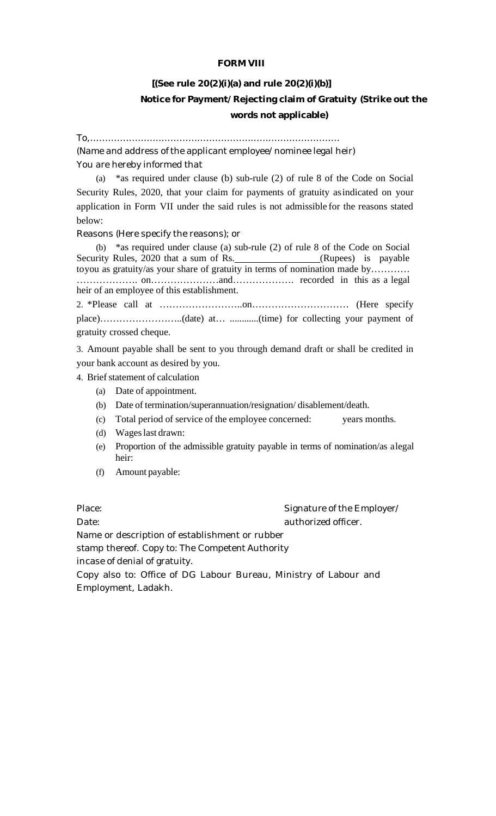# **FORM VIII**

# **[(See rule 20(2)(i)(a) and rule 20(2)(i)(b)] Notice for Payment/Rejecting claim of Gratuity (Strike out the**

### **words not applicable)**

To,………………………………………………………………………… (Name and address of the applicant employee/nominee legal heir)

You are hereby informed that

(a) \*as required under clause (b) sub-rule (2) of rule 8 of the Code on Social Security Rules, 2020, that your claim for payments of gratuity asindicated on your application in Form VII under the said rules is not admissible for the reasons stated below:

Reasons (Here specify the reasons); or

(b) \*as required under clause (a) sub-rule (2) of rule 8 of the Code on Social Security Rules, 2020 that a sum of Rs. (Rupees) is payable toyou as gratuity/as your share of gratuity in terms of nomination made by………… ………………. on…………………and………………. recorded in this as a legal heir of an employee of this establishment.

2. \*Please call at ……………………..on………………………… (Here specify place)……………………..(date) at… ............(time) for collecting your payment of gratuity crossed cheque.

3. Amount payable shall be sent to you through demand draft or shall be credited in your bank account as desired by you.

4. Brief statement of calculation

- (a) Date of appointment.
- (b) Date of termination/superannuation/resignation/ disablement/death.
- (c) Total period of service of the employee concerned: years months.
- (d) Wageslast drawn:
- (e) Proportion of the admissible gratuity payable in terms of nomination/as alegal heir:
- (f) Amount payable:

Place:  $\blacksquare$  Signature of the Employer/ Date: authorized officer. Name or description of establishment or rubber stamp thereof. Copy to: The Competent Authority incase of denial of gratuity.

Copy also to: Office of DG Labour Bureau, Ministry of Labour and Employment, Ladakh.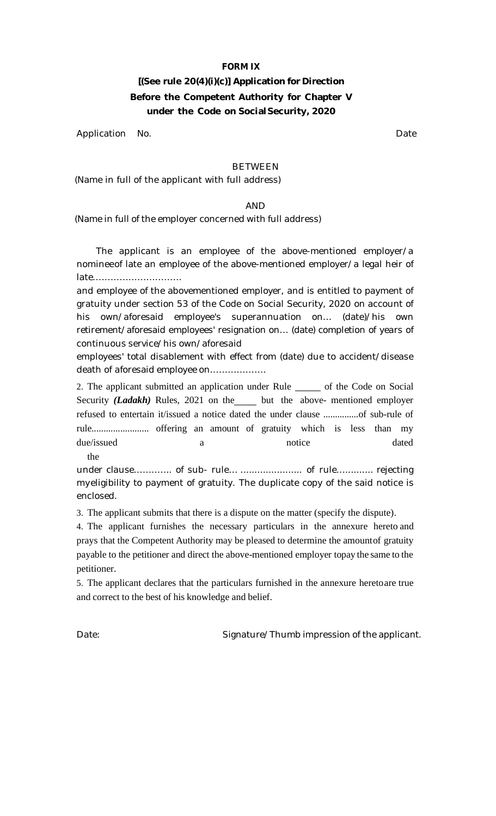# **FORM IX**

# **[(See rule 20(4)(i)(c)] Application for Direction Before the Competent Authority for Chapter V under the Code on Social Security, 2020**

Application No. 2008 and 2009 and 2009 and 2009 and 2009 and 2009 and 2009 and 2009 and 2009 and 2009 and 2009

### BETWEEN

(Name in full of the applicant with full address)

# AND

(Name in full of the employer concerned with full address)

The applicant is an employee of the above-mentioned employer/a nomineeof late an employee of the above-mentioned employer/a legal heir of late…………………………

and employee of the abovementioned employer, and is entitled to payment of gratuity under section 53 of the Code on Social Security, 2020 on account of his own/aforesaid employee's superannuation on… (date)/his own retirement/aforesaid employees' resignation on… (date) completion of years of continuous service/his own/aforesaid

employees' total disablement with effect from (date) due to accident/disease death of aforesaid employee on……………….

2. The applicant submitted an application under Rule submanities of the Code on Social Security *(Ladakh)* Rules, 2021 on the but the above- mentioned employer refused to entertain it/issued a notice dated the under clause ...............of sub-rule of rule........................ offering an amount of gratuity which is less than my due/issued a notice dated

the

under clause………….. of sub- rule… ................................ of rule…………... rejecting myeligibility to payment of gratuity. The duplicate copy of the said notice is enclosed.

3. The applicant submits that there is a dispute on the matter (specify the dispute).

4. The applicant furnishes the necessary particulars in the annexure hereto and prays that the Competent Authority may be pleased to determine the amountof gratuity payable to the petitioner and direct the above-mentioned employer topay the same to the petitioner.

5. The applicant declares that the particulars furnished in the annexure heretoare true and correct to the best of his knowledge and belief.

Date: Case of the Signature/Thumb impression of the applicant.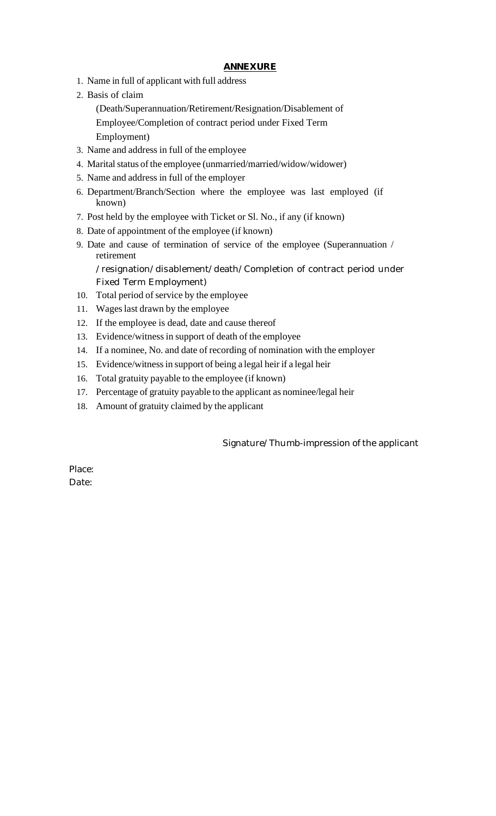# **ANNEXURE**

- 1. Name in full of applicant with full address
- 2. Basis of claim

(Death/Superannuation/Retirement/Resignation/Disablement of Employee/Completion of contract period under Fixed Term Employment)

- 3. Name and address in full of the employee
- 4. Marital status of the employee (unmarried/married/widow/widower)
- 5. Name and address in full of the employer
- 6. Department/Branch/Section where the employee was last employed (if known)
- 7. Post held by the employee with Ticket or Sl. No., if any (if known)
- 8. Date of appointment of the employee (if known)
- 9. Date and cause of termination of service of the employee (Superannuation / retirement

/resignation/disablement/death/Completion of contract period under Fixed Term Employment)

- 10. Total period of service by the employee
- 11. Wageslast drawn by the employee
- 12. If the employee is dead, date and cause thereof
- 13. Evidence/witnessin support of death of the employee
- 14. If a nominee, No. and date of recording of nomination with the employer
- 15. Evidence/witnessin support of being a legal heir if a legal heir
- 16. Total gratuity payable to the employee (if known)
- 17. Percentage of gratuity payable to the applicant as nominee/legal heir
- 18. Amount of gratuity claimed by the applicant

Signature/Thumb-impression of the applicant

Place: Date: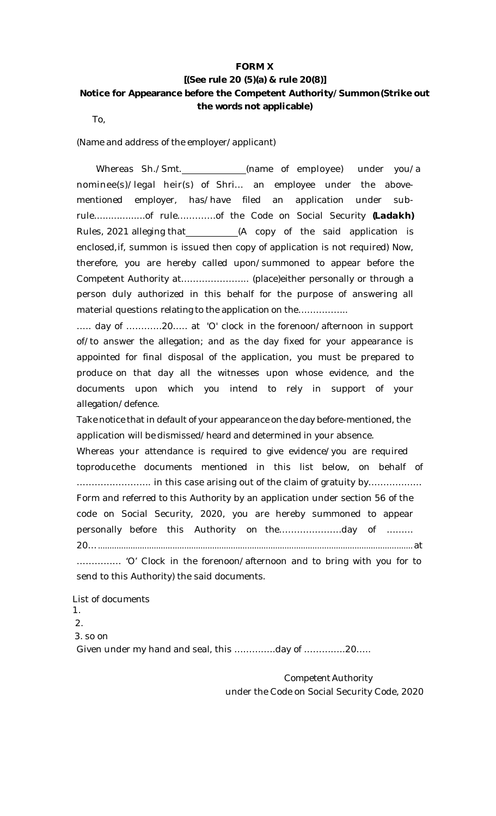# **FORM X [(See rule 20 (5)(a) & rule 20(8)] Notice for Appearance before the Competent Authority/Summon(Strike out the words not applicable)**

To,

(Name and address of the employer/applicant)

Whereas Sh./Smt.\_\_\_\_\_\_\_\_\_\_\_\_(name of employee) under you/a nominee(s)/legal heir(s) of Shri… an employee under the abovementioned employer, has/have filed an application under subrule..................of rule………….of the Code on Social Security *(Ladakh)* Rules, 2021 alleging that (A copy of the said application is enclosed,if, summon is issued then copy of application is not required) Now, therefore, you are hereby called upon/summoned to appear before the Competent Authority at………………….. (place)either personally or through a person duly authorized in this behalf for the purpose of answering all material questions relating to the application on the…………….

….. day of …………20….. at 'O' clock in the forenoon/afternoon in support of/to answer the allegation; and as the day fixed for your appearance is appointed for final disposal of the application, you must be prepared to produce on that day all the witnesses upon whose evidence, and the documents upon which you intend to rely in support of your allegation/defence.

Take notice that in default of your appearance on the day before-mentioned, the application will be dismissed/heard and determined in your absence.

Whereas your attendance is required to give evidence/you are required toproducethe documents mentioned in this list below, on behalf of ……………………. in this case arising out of the claim of gratuity by……………… Form and referred to this Authority by an application under section 56 of the code on Social Security, 2020, you are hereby summoned to appear personally before this Authority on the…………………day of ……… 20….......................................................................................................................................at

…………… 'O' Clock in the forenoon/afternoon and to bring with you for to send to this Authority) the said documents.

List of documents 1. 2. 3. so on Given under my hand and seal, this …………..day of …………..20…..

> Competent Authority under the Code on Social Security Code, 2020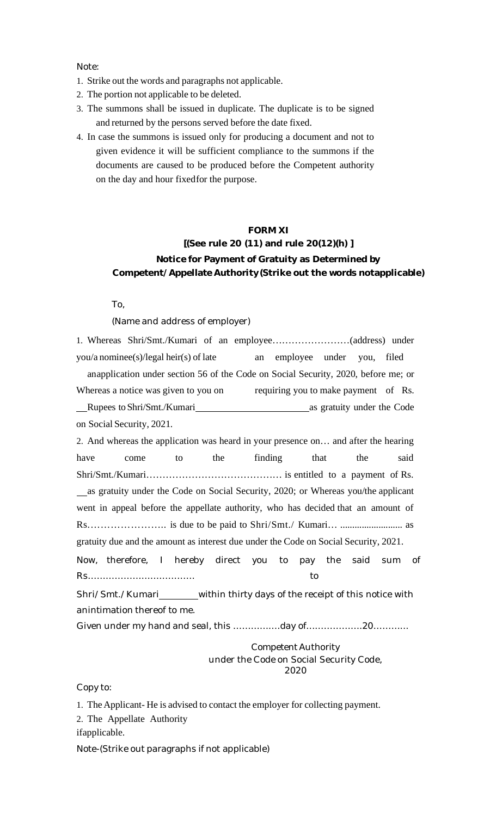Note:

- 1. Strike out the words and paragraphs not applicable.
- 2. The portion not applicable to be deleted.
- 3. The summons shall be issued in duplicate. The duplicate is to be signed and returned by the persons served before the date fixed.
- 4. In case the summons is issued only for producing a document and not to given evidence it will be sufficient compliance to the summons if the documents are caused to be produced before the Competent authority on the day and hour fixedfor the purpose.

# **FORM XI**

# **[(See rule 20 (11) and rule 20(12)(h) ] Notice for Payment of Gratuity as Determined by Competent/Appellate Authority(Strike out the words notapplicable)**

To,

(Name and address of employer)

1. Whereas Shri/Smt./Kumari of an employee……………………(address) under you/a nominee(s)/legal heir(s) of late an employee under you, filed anapplication under section 56 of the Code on Social Security, 2020, before me; or Whereas a notice was given to you on requiring you to make payment of Rs. Rupees to Shri/Smt./Kumari as gratuity under the Code on Social Security, 2021. 2. And whereas the application was heard in your presence on… and after the hearing have come to the finding that the said Shri/Smt./Kumari…………………………………… is entitled to a payment of Rs. as gratuity under the Code on Social Security, 2020; or Whereas you/the applicant went in appeal before the appellate authority, who has decided that an amount of Rs.………………….. is due to be paid to Shri/Smt./ Kumari… .......................... as gratuity due and the amount as interest due under the Code on Social Security, 2021. Now, therefore, I hereby direct you to pay the said sum of Rs……………………………… to Shri/Smt./Kumari\_\_\_\_\_\_within thirty days of the receipt of this notice with anintimation thereof to me. Given under my hand and seal, this …………….day of……………….20………...

Competent Authority under the Code on Social Security Code, 2020

Copy to:

1. TheApplicant- He is advised to contact the employer for collecting payment. 2. The Appellate Authority

ifapplicable.

Note-(Strike out paragraphs if not applicable)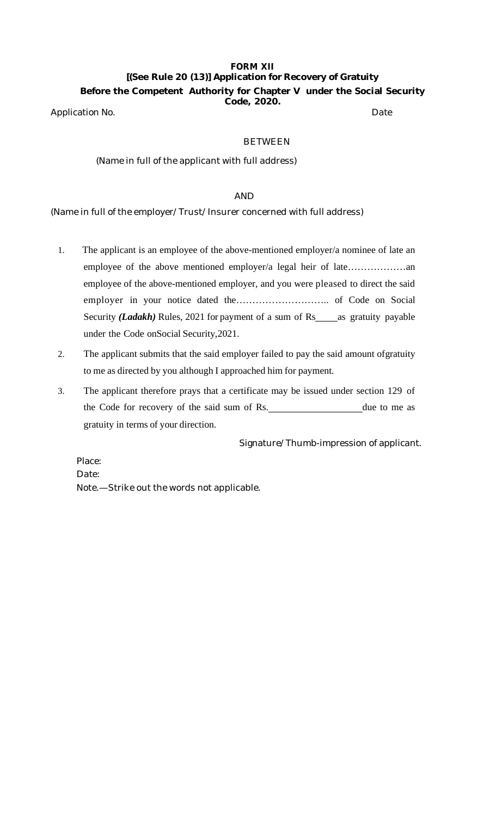# **FORM XII [(See Rule 20 (13)] Application for Recovery of Gratuity Before the Competent Authority for Chapter V under the Social Security Code, 2020.**

Application No. **Date** 

# BETWEEN

# (Name in full of the applicant with full address)

# AND

(Name in full of the employer/Trust/Insurer concerned with full address)

- 1. The applicant is an employee of the above-mentioned employer/a nominee of late an employee of the above mentioned employer/a legal heir of late………………an employee of the above-mentioned employer, and you were pleased to direct the said employer in your notice dated the……………………….. of Code on Social Security *(Ladakh)* Rules, 2021 for payment of a sum of Rs as gratuity payable under the Code onSocial Security,2021.
- 2. The applicant submits that the said employer failed to pay the said amount ofgratuity to me as directed by you although I approached him for payment.
- 3. The applicant therefore prays that a certificate may be issued under section 129 of the Code for recovery of the said sum of Rs. due to me as gratuity in terms of your direction.

Signature/Thumb-impression of applicant.

Place: Date: Note.—Strike out the words not applicable.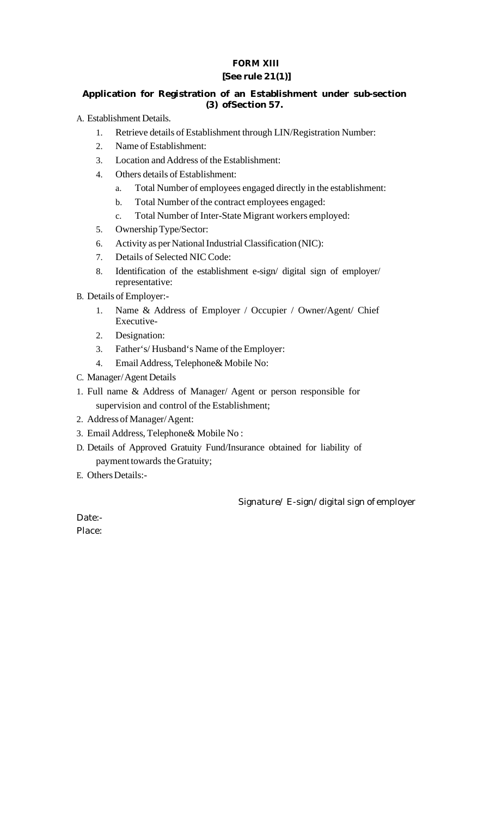# **FORM XIII [See rule 21(1)]**

# **Application for Registration of an Establishment under sub-section (3) ofSection 57.**

A. Establishment Details.

- 1. Retrieve details of Establishment through LIN/Registration Number:
- 2. Name of Establishment:
- 3. Location andAddress of the Establishment:
- 4. Others details of Establishment:
	- a. Total Number of employees engaged directly in the establishment:
	- b. Total Number of the contract employees engaged:
	- c. Total Number of Inter-State Migrant workers employed:
- 5. OwnershipType/Sector:
- 6. Activity as per National Industrial Classification (NIC):
- 7. Details of Selected NIC Code:
- 8. Identification of the establishment e-sign/ digital sign of employer/ representative:

B. Details of Employer:-

- 1. Name & Address of Employer / Occupier / Owner/Agent/ Chief Executive-
- 2. Designation:
- 3. Father's/ Husband's Name of the Employer:
- 4. Email Address, Telephone & Mobile No:
- C. Manager/Agent Details
- 1. Full name & Address of Manager/ Agent or person responsible for supervision and control of the Establishment;
- 2. Address of Manager/Agent:
- 3. Email Address, Telephone& Mobile No:
- D. Details of Approved Gratuity Fund/Insurance obtained for liability of payment towards the Gratuity;
- E. Others Details:-

Signature/ E-sign/digital sign of employer

Date:- Place: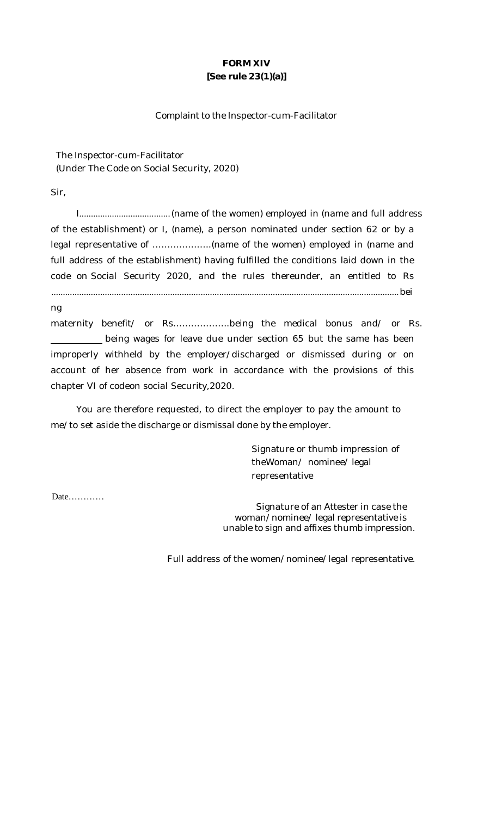# **FORM XIV [See rule 23(1)(a)]**

# Complaint to the Inspector-cum-Facilitator

The Inspector-cum-Facilitator (Under The Code on Social Security, 2020)

Sir,

I.......................................(name of the women) employed in (name and full address of the establishment) or I, (name), a person nominated under section 62 or by a legal representative of ………………..(name of the women) employed in (name and full address of the establishment) having fulfilled the conditions laid down in the code on Social Security 2020, and the rules thereunder, an entitled to Rs .....................................................................................................................................................bei

ng

maternity benefit/ or Rs……………….being the medical bonus and/ or Rs. being wages for leave due under section 65 but the same has been improperly withheld by the employer/discharged or dismissed during or on account of her absence from work in accordance with the provisions of this chapter VI of codeon social Security,2020.

You are therefore requested, to direct the employer to pay the amount to me/to set aside the discharge or dismissal done by the employer.

> Signature or thumb impression of theWoman/ nominee/ legal representative

Date…………

Signature of an Attester in case the woman/nominee/ legal representative is unable to sign and affixes thumb impression.

Full address of the women/nominee/legal representative.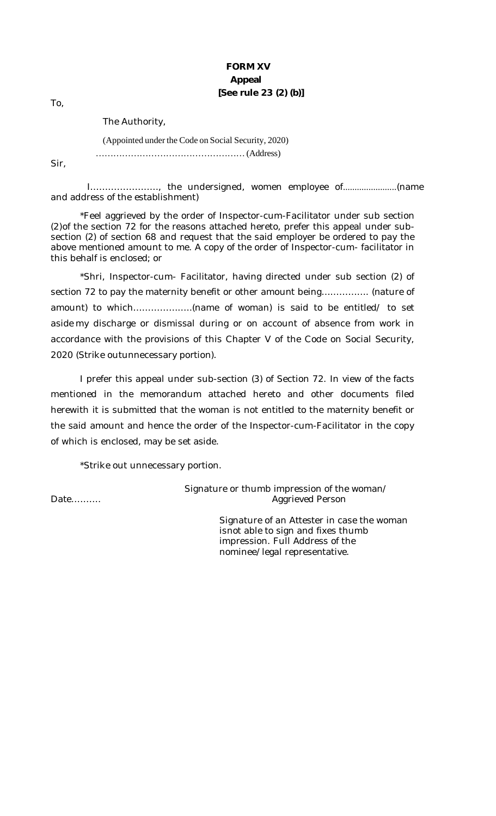# **FORM XV Appeal [See rule 23 (2) (b)]**

To,

The Authority,

# (Appointed under the Code on Social Security, 2020) ……………………………………………(Address)

Sir,

I………………….., the undersigned, women employee of.......................(name and address of the establishment)

\*Feel aggrieved by the order of Inspector-cum-Facilitator under sub section (2)of the section 72 for the reasons attached hereto, prefer this appeal under subsection (2) of section 68 and request that the said employer be ordered to pay the above mentioned amount to me. A copy of the order of Inspector-cum- facilitator in this behalf is enclosed; or

\*Shri, Inspector-cum- Facilitator, having directed under sub section (2) of section 72 to pay the maternity benefit or other amount being……………. (nature of amount) to which………………..(name of woman) is said to be entitled/ to set aside my discharge or dismissal during or on account of absence from work in accordance with the provisions of this Chapter V of the Code on Social Security, 2020 (Strike outunnecessary portion).

I prefer this appeal under sub-section (3) of Section 72. In view of the facts mentioned in the memorandum attached hereto and other documents filed herewith it is submitted that the woman is not entitled to the maternity benefit or the said amount and hence the order of the Inspector-cum-Facilitator in the copy of which is enclosed, may be set aside.

\*Strike out unnecessary portion.

Signature or thumb impression of the woman/ Date………. Aggrieved Person

> Signature of an Attester in case the woman isnot able to sign and fixes thumb impression. Full Address of the nominee/legal representative.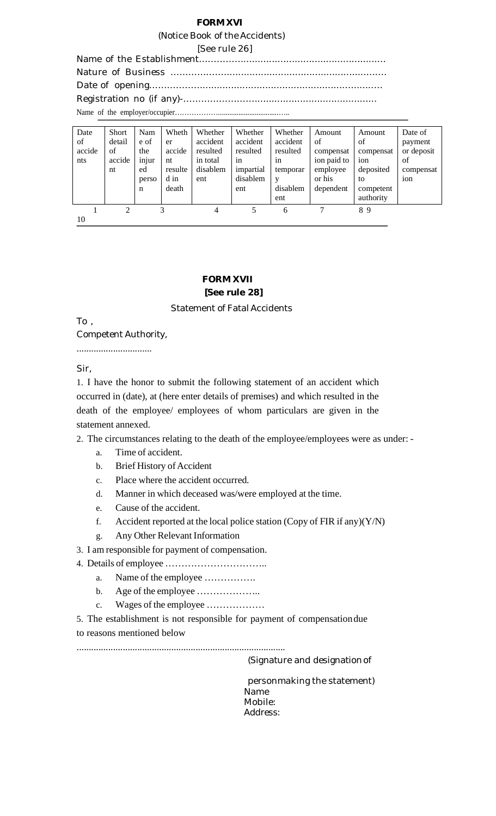### **FORM XVI**

#### (Notice Book of the Accidents)

[See rule 26]

Name of the Establishment……………...............................................… Nature of Business ………………..................................................….… Date of opening………………..................................................….......… Registration no (if any)-……………………........................................... Name of the employer/occupier……………….................................…..

| Date   | <b>Short</b> | Nam   | Wheth   | Whether  | Whether   | Whether  | Amount      | Amount    | Date of    |
|--------|--------------|-------|---------|----------|-----------|----------|-------------|-----------|------------|
| of     | detail       | e of  | er      | accident | accident  | accident | of          | of        | payment    |
| accide | of           | the   | accide  | resulted | resulted  | resulted | compensat   | compensat | or deposit |
| nts    | accide       | injur | nt      | in total | in        | in       | ion paid to | ion       | of         |
|        | nt           | ed    | resulte | disablem | impartial | temporar | employee    | deposited | compensat  |
|        |              | perso | d in    | ent      | disablem  | V        | or his      | to        | ion        |
|        |              | n     | death   |          | ent       | disablem | dependent   | competent |            |
|        |              |       |         |          |           | ent      |             | authority |            |
|        | 2            |       | 3       | 4        | 5         | 6        |             | 89        |            |
| 10     |              |       |         |          |           |          |             |           |            |

# **FORM XVII**

# **[See rule 28]**

### Statement of Fatal Accidents

To ,

Competent Authority,

...............................

Sir,

1. I have the honor to submit the following statement of an accident which occurred in (date), at (here enter details of premises) and which resulted in the death of the employee/ employees of whom particulars are given in the statement annexed.

2. The circumstances relating to the death of the employee/employees were as under: -

- a. Time of accident.
- b. Brief History of Accident
- c. Place where the accident occurred.
- d. Manner in which deceased was/were employed at the time.
- e. Cause of the accident.
- f. Accident reported at the local police station (Copy of FIR if any) $(Y/N)$
- g. Any Other Relevant Information
- 3. I am responsible for payment of compensation.
- 4. Details of employee …………………………..
	- a. Name of the employee …………….
	- b. Age of the employee ………………..
	- c. Wages ofthe employee ………………

5. The establishment is not responsible for payment of compensationdue to reasons mentioned below

......................................................................................

(Signature and designationof

personmaking the statement) Name Mobile: Address: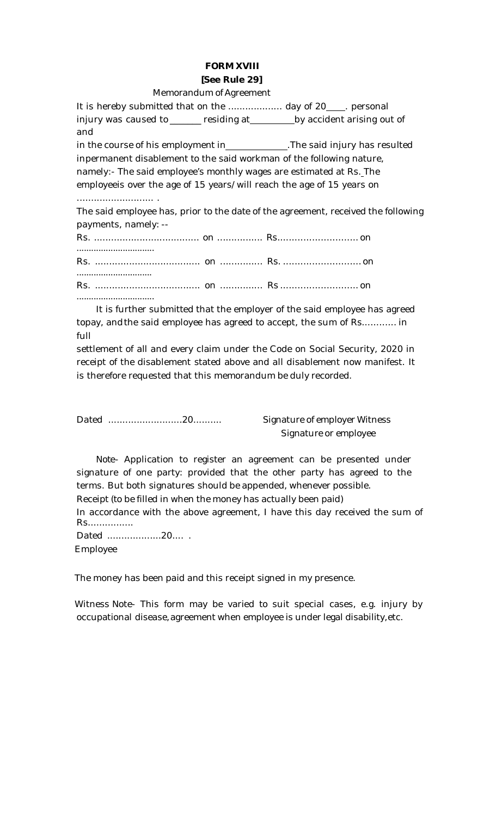# **FORM XVIII [See Rule 29]**

### Memorandum of Agreement

It is hereby submitted that on the ................... day of 20 . personal injury was caused to \_\_\_\_\_\_ residing at \_\_\_\_\_\_\_\_ by accident arising out of and in the course of his employment in \_\_\_\_\_\_\_\_\_\_\_\_\_. The said injury has resulted inpermanent disablement to the said workman of the following nature, namely:- The said employee's monthly wages are estimated at Rs. The employeeis over the age of 15 years/will reach the age of 15 years on ........................... . The said employee has, prior to the date of the agreement, received the following payments, namely: -- Rs. ..................................... on ................ Rs............................ on ................................ Rs. ..................................... on ............... Rs. ........................... on ...............................

Rs. ..................................... on ............... Rs ........................... on

It is further submitted that the employer of the said employee has agreed topay, andthe said employee has agreed to accept, the sum of Rs............ in full

settlement of all and every claim under the Code on Social Security, 2020 in receipt of the disablement stated above and all disablement now manifest. It is therefore requested that this memorandum be duly recorded.

Dated ..........................20.......... Signature of employer Witness

................................

Signature or employee

*Note*- Application to register an agreement can be presented under signature of one party: provided that the other party has agreed to the terms. But both signatures should be appended, whenever possible. Receipt (to be filled in when the money has actually been paid)

In accordance with the above agreement, I have this day received the sum of

Rs................ Dated .....................20.... .

Employee

The money has been paid and this receipt signed in my presence.

Witness Note- This form may be varied to suit special cases, e.g. injury by occupational disease, agreement when employee is under legal disability, etc.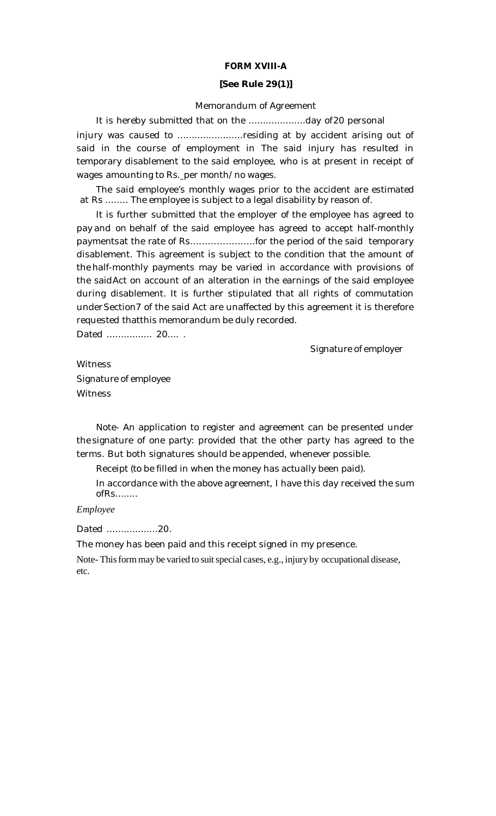# **FORM XVIII-A**

### **[See Rule 29(1)]**

### Memorandum of Agreement

It is hereby submitted that on the ....................day of20 personal injury was caused to ......................residing at by accident arising out of said in the course of employment in The said injury has resulted in temporary disablement to the said employee, who is at present in receipt of wages amounting to Rs. per month/no wages.

The said employee's monthly wages prior to the accident are estimated at Rs ........ The employee is subject to a legal disability by reason of.

It is further submitted that the employer of the employee has agreed to pay and on behalf of the said employee has agreed to accept half-monthly paymentsat the rate of Rs………………….for the period of the said temporary disablement. This agreement is subject to the condition that the amount of the half-monthly payments may be varied in accordance with provisions of the saidAct on account of an alteration in the earnings of the said employee during disablement. It is further stipulated that all rights of commutation underSection7 of the said Act are unaffected by this agreement it is therefore requested thatthis memorandum be duly recorded.

Dated ................. 20.... .

Signature of employer

**Witness** Signature of employee **Witness** 

Note- An application to register and agreement can be presented under the signature of one party: provided that the other party has agreed to the terms. But both signatures should be appended, whenever possible.

Receipt (to be filled in when the money has actually been paid).

In accordance with the above agreement, I have this day received the sum ofRs........

*Employee*

Dated ..................20.

The money has been paid and this receipt signed in my presence.

Note-This form may be varied to suit special cases, e.g., injury by occupational disease, etc.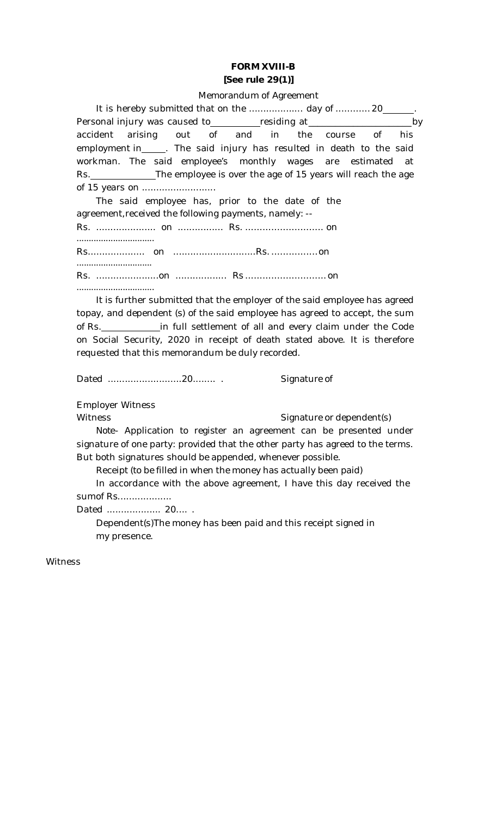# **FORM XVIII-B [See rule 29(1)]**

### Memorandum of Agreement

It is hereby submitted that on the ...................... day of ............. 20\_ Personal injury was caused to residing at \_\_\_\_\_\_\_\_\_\_\_\_\_\_\_\_\_\_\_\_\_\_\_\_\_\_\_\_by accident arising out of and in the course of his employment in\_\_\_\_\_. The said injury has resulted in death to the said workman. The said employee's monthly wages are estimated at Rs. The employee is over the age of 15 years will reach the age of 15 years on ........................... The said employee has, prior to the date of the

agreement,received the following payments, namely: -- Rs. ..................... on ................ Rs. ........................... on ................................ Rs.................... on .............................Rs. ................on ............................... Rs. ......................on .................. Rs ............................on

................................

It is further submitted that the employer of the said employee has agreed topay, and dependent (s) of the said employee has agreed to accept, the sum of Rs. in full settlement of all and every claim under the Code on Social Security, 2020 in receipt of death stated above. It is therefore requested that this memorandum be duly recorded.

Dated ..........................20........ . Signature of

Employer Witness

Witness Witness Signature or dependent(s)

*Note*- Application to register an agreement can be presented under signature of one party: provided that the other party has agreed to the terms. But both signatures should be appended, whenever possible.

Receipt (to be filled in when the money has actually been paid)

In accordance with the above agreement, I have this day received the sumof Rs...................

Dated ................... 20.... .

Dependent(s)The money has been paid and this receipt signed in my presence.

Witness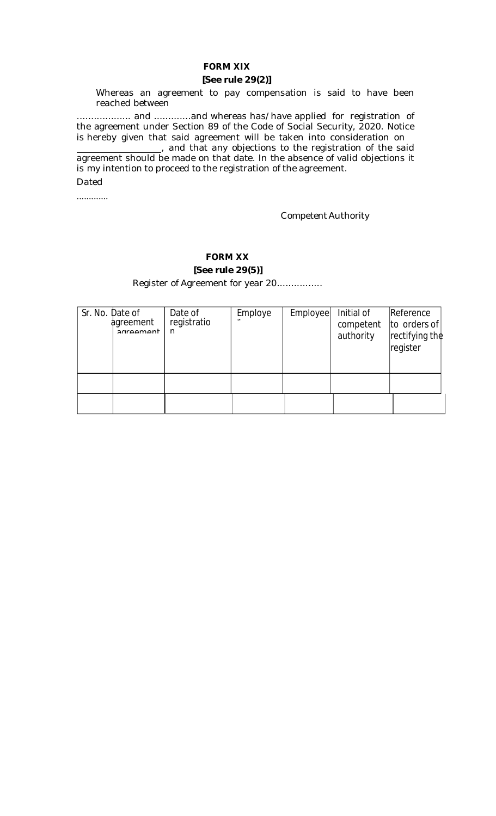# **FORM XIX**

# **[See rule 29(2)]**

Whereas an agreement to pay compensation is said to have been reached between

................... and .............and whereas has/have applied for registration of the agreement under Section 89 of the Code of Social Security, 2020. Notice is hereby given that said agreement will be taken into consideration on

<sub>1</sub>, and that any objections to the registration of the said agreement should be made on that date. In the absence of valid objections it is my intention to proceed to the registration of the agreement. Dated

.............

Competent Authority

# **FORM XX**

**[See rule 29(5)]**

Register of Agreement for year 20................

| Sr. No. Date of | agreement<br>agroomont | Date of<br>registratio<br>n | Employe | Employee | Initial of<br>competent<br>authority | Reference<br>to orders of<br> rectifying the<br>register |
|-----------------|------------------------|-----------------------------|---------|----------|--------------------------------------|----------------------------------------------------------|
|                 |                        |                             |         |          |                                      |                                                          |
|                 |                        |                             |         |          |                                      |                                                          |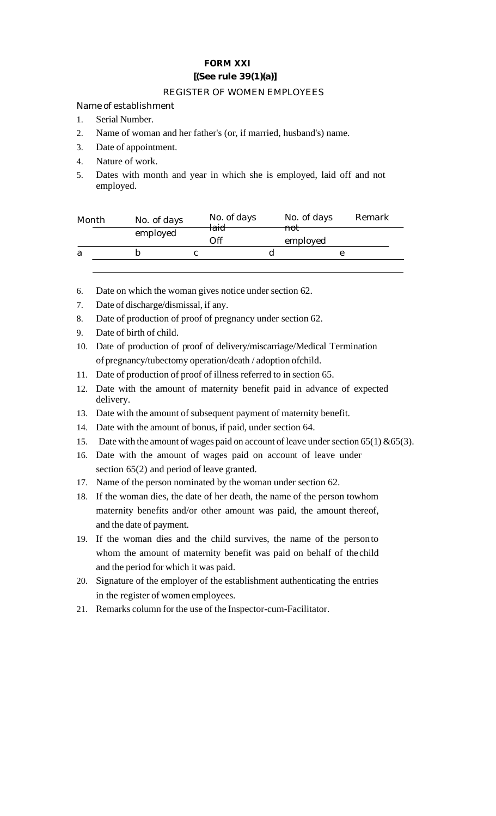# **FORM XXI [(See rule 39(1)(a)]**

# REGISTER OF WOMEN EMPLOYEES

Name of establishment

- 1. Serial Number.
- 2. Name of woman and her father's (or, if married, husband's) name.
- 3. Date of appointment.
- 4. Nature of work.
- 5. Dates with month and year in which she is employed, laid off and not employed.

| Month | No. of days | No. of days<br><del>laid</del> |                | No. of days | Remark |
|-------|-------------|--------------------------------|----------------|-------------|--------|
|       | employed    |                                | <del>not</del> |             |        |
|       |             | .)ff                           |                | employed    |        |
| a     |             |                                |                |             |        |
|       |             |                                |                |             |        |

- 6. Date on which the woman gives notice under section 62.
- 7. Date of discharge/dismissal, if any.
- 8. Date of production of proof of pregnancy under section 62.
- 9. Date of birth of child.
- 10. Date of production of proof of delivery/miscarriage/Medical Termination of pregnancy/tubectomy operation/death / adoption ofchild.
- 11. Date of production of proof of illness referred to in section 65.
- 12. Date with the amount of maternity benefit paid in advance of expected delivery.
- 13. Date with the amount of subsequent payment of maternity benefit.
- 14. Date with the amount of bonus, if paid, under section 64.
- 15. Date with the amount of wages paid on account of leave under section  $65(1)$  &65(3).
- 16. Date with the amount of wages paid on account of leave under section 65(2) and period of leave granted.
- 17. Name of the person nominated by the woman under section 62.
- 18. If the woman dies, the date of her death, the name of the person towhom maternity benefits and/or other amount was paid, the amount thereof, and the date of payment.
- 19. If the woman dies and the child survives, the name of the personto whom the amount of maternity benefit was paid on behalf of thechild and the period for which it was paid.
- 20. Signature of the employer of the establishment authenticating the entries in the register of women employees.
- 21. Remarks column for the use of the Inspector-cum-Facilitator.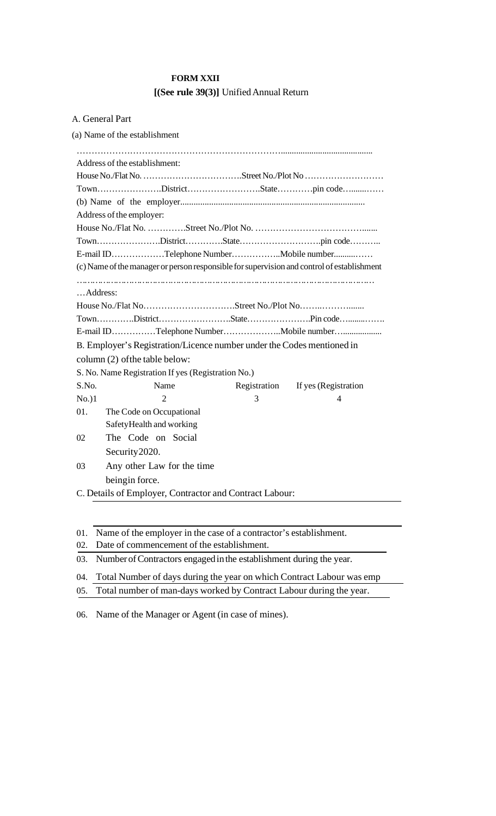# **FORM XXII [(See rule 39(3)]** UnifiedAnnual Return

# A. General Part

(a) Name of the establishment

|          | Address of the establishment:                                                              |              |                      |
|----------|--------------------------------------------------------------------------------------------|--------------|----------------------|
|          |                                                                                            |              |                      |
|          |                                                                                            |              |                      |
|          |                                                                                            |              |                      |
|          | Address of the employer:                                                                   |              |                      |
|          |                                                                                            |              |                      |
|          |                                                                                            |              |                      |
|          | E-mail IDTelephone NumberMobile number                                                     |              |                      |
|          | (c) Name of the manager or person responsible for supervision and control of establishment |              |                      |
|          |                                                                                            |              |                      |
| Address: |                                                                                            |              |                      |
|          |                                                                                            |              |                      |
|          |                                                                                            |              |                      |
|          | E-mail IDTelephone NumberMobile number                                                     |              |                      |
|          | B. Employer's Registration/Licence number under the Codes mentioned in                     |              |                      |
|          | column (2) of the table below:                                                             |              |                      |
|          | S. No. Name Registration If yes (Registration No.)                                         |              |                      |
| S.No.    | Name                                                                                       | Registration | If yes (Registration |
| $No.$ )1 | $\overline{c}$                                                                             | 3            | 4                    |
| 01.      | The Code on Occupational                                                                   |              |                      |
|          | SafetyHealth and working                                                                   |              |                      |
| 02       | The Code on Social                                                                         |              |                      |
|          | Security 2020.                                                                             |              |                      |
| 03       | Any other Law for the time                                                                 |              |                      |
|          | beingin force.                                                                             |              |                      |
|          | C. Details of Employer, Contractor and Contract Labour:                                    |              |                      |

01. Name of the employer in the case of a contractor's establishment.

02. Date of commencement of the establishment.

03. Number of Contractors engaged in the establishment during the year.

04. Total Number of days during the year on which Contract Labour was emp

05. Total number of man-days worked by Contract Labour during the year.

06. Name of the Manager or Agent (in case of mines).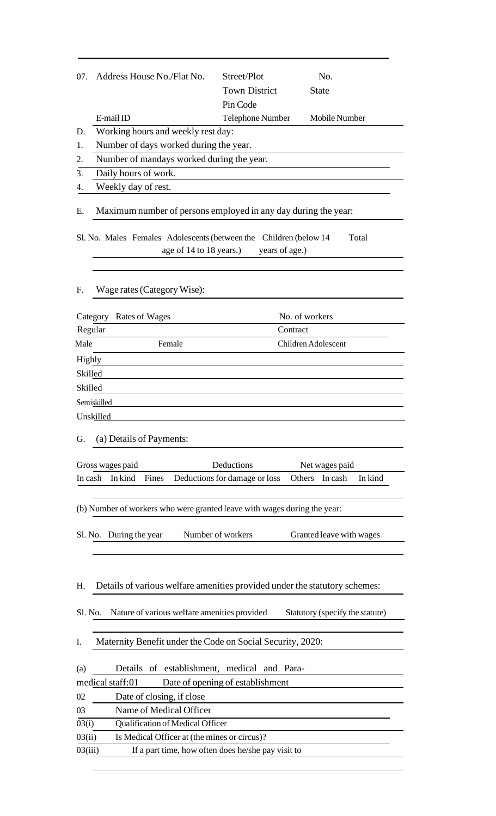|                     | Address House No./Flat No.                                                 | Street/Plot                                        | No.                             |
|---------------------|----------------------------------------------------------------------------|----------------------------------------------------|---------------------------------|
|                     |                                                                            | <b>Town District</b>                               | <b>State</b>                    |
|                     |                                                                            | Pin Code                                           |                                 |
|                     | E-mail ID                                                                  | Telephone Number                                   | Mobile Number                   |
| D.                  | Working hours and weekly rest day:                                         |                                                    |                                 |
| 1.                  | Number of days worked during the year.                                     |                                                    |                                 |
| 2.                  | Number of mandays worked during the year.                                  |                                                    |                                 |
| 3.                  | Daily hours of work.                                                       |                                                    |                                 |
| 4.                  | Weekly day of rest.                                                        |                                                    |                                 |
| Ε.                  | Maximum number of persons employed in any day during the year:             |                                                    |                                 |
|                     | Sl. No. Males Females Adolescents (between the Children (below 14          |                                                    | Total                           |
|                     | age of 14 to 18 years.)                                                    | years of age.)                                     |                                 |
|                     |                                                                            |                                                    |                                 |
| F.                  | Wage rates (Category Wise):                                                |                                                    |                                 |
|                     | Category Rates of Wages                                                    |                                                    | No. of workers                  |
|                     | Regular                                                                    | Contract                                           |                                 |
| Male                | Female                                                                     |                                                    | Children Adolescent             |
| Highly              |                                                                            |                                                    |                                 |
| Skilled             |                                                                            |                                                    |                                 |
| Skilled             |                                                                            |                                                    |                                 |
|                     | Semiskilled                                                                |                                                    |                                 |
|                     |                                                                            |                                                    |                                 |
|                     |                                                                            |                                                    |                                 |
|                     | Unskilled                                                                  |                                                    |                                 |
|                     | (a) Details of Payments:                                                   |                                                    |                                 |
|                     |                                                                            |                                                    |                                 |
|                     | Gross wages paid                                                           | Deductions                                         | Net wages paid                  |
|                     | In kind<br>Fines                                                           | Deductions for damage or loss                      | In kind<br>Others<br>In cash    |
|                     |                                                                            |                                                    |                                 |
|                     | (b) Number of workers who were granted leave with wages during the year:   |                                                    |                                 |
|                     |                                                                            |                                                    |                                 |
|                     | Sl. No. During the year                                                    | Number of workers                                  | Granted leave with wages        |
|                     |                                                                            |                                                    |                                 |
|                     |                                                                            |                                                    |                                 |
|                     | Details of various welfare amenities provided under the statutory schemes: |                                                    |                                 |
| G.<br>In cash<br>H. |                                                                            |                                                    |                                 |
|                     | Nature of various welfare amenities provided                               |                                                    | Statutory (specify the statute) |
| Sl. No.<br>I.       |                                                                            |                                                    |                                 |
|                     | Maternity Benefit under the Code on Social Security, 2020:                 |                                                    |                                 |
|                     | Details of establishment, medical and Para-                                |                                                    |                                 |
| (a)                 | medical staff:01                                                           | Date of opening of establishment                   |                                 |
| 02                  | Date of closing, if close                                                  |                                                    |                                 |
| 03                  | Name of Medical Officer                                                    |                                                    |                                 |
|                     | Qualification of Medical Officer                                           |                                                    |                                 |
| 03(i)<br>03(ii)     | Is Medical Officer at (the mines or circus)?                               |                                                    |                                 |
| 03(iii)             |                                                                            | If a part time, how often does he/she pay visit to |                                 |

 $\overline{\phantom{a}}$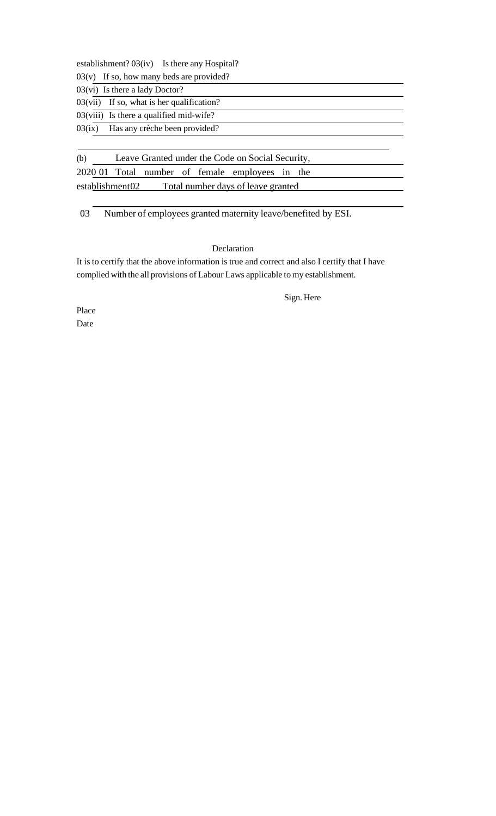establishment? 03(iv) Is there any Hospital?

 $03(v)$  If so, how many beds are provided?

| $03(vi)$ Is there a lady Doctor?<br>$03(vii)$ If so, what is her qualification? |  |
|---------------------------------------------------------------------------------|--|
| $03(viii)$ Is there a qualified mid-wife?                                       |  |
| $03(ix)$ Has any crèche been provided?                                          |  |

(b) Leave Granted under the Code on Social Security, 2020 01 Total number of female employees in the establishment02 Total number days of leave granted

03 Number of employees granted maternity leave/benefited by ESI.

# Declaration

It is to certify that the above information is true and correct and also I certify that I have complied with the all provisions of Labour Laws applicable tomy establishment.

Sign. Here

Place Date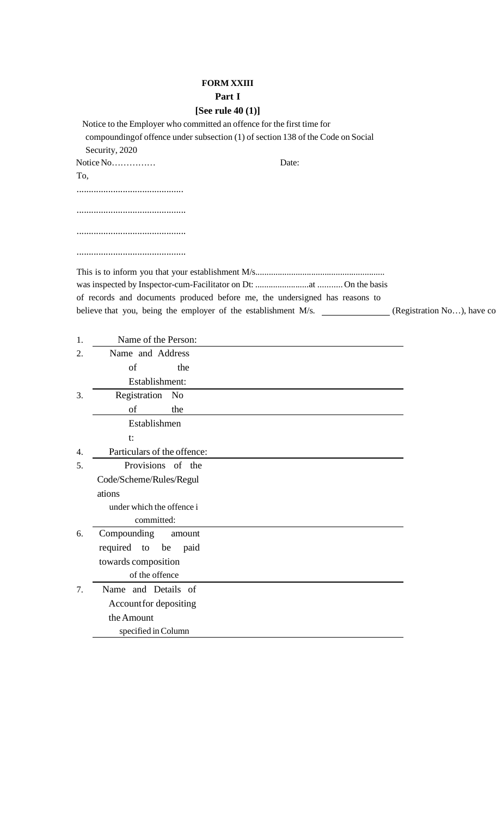# **FORM XXIII Part I**

# **[See rule 40 (1)]**

|     | Notice to the Employer who committed an offence for the first time for<br>compounding of offence under subsection (1) of section 138 of the Code on Social |  |
|-----|------------------------------------------------------------------------------------------------------------------------------------------------------------|--|
|     | Security, 2020                                                                                                                                             |  |
|     | Notice No<br>Date:                                                                                                                                         |  |
| To, |                                                                                                                                                            |  |
|     |                                                                                                                                                            |  |
|     |                                                                                                                                                            |  |
|     |                                                                                                                                                            |  |
|     |                                                                                                                                                            |  |
|     |                                                                                                                                                            |  |
|     |                                                                                                                                                            |  |
|     |                                                                                                                                                            |  |
|     |                                                                                                                                                            |  |
|     | of records and documents produced before me, the undersigned has reasons to                                                                                |  |
|     | believe that you, being the employer of the establishment M/s. _____________(Registration No), have co                                                     |  |
|     |                                                                                                                                                            |  |
| 1.  | Name of the Person:                                                                                                                                        |  |
| 2.  | Name and Address                                                                                                                                           |  |
|     | the<br>of                                                                                                                                                  |  |
|     | Establishment:                                                                                                                                             |  |
| 3.  | Registration No                                                                                                                                            |  |
|     | the<br>of                                                                                                                                                  |  |
|     | Establishmen                                                                                                                                               |  |
|     | t:                                                                                                                                                         |  |
| 4.  | Particulars of the offence:                                                                                                                                |  |
| 5.  | Provisions of the                                                                                                                                          |  |
|     | Code/Scheme/Rules/Regul                                                                                                                                    |  |
|     | ations                                                                                                                                                     |  |
|     | under which the offence i                                                                                                                                  |  |
|     | committed:                                                                                                                                                 |  |
| 6.  | Compounding<br>amount                                                                                                                                      |  |
|     | required to be paid                                                                                                                                        |  |
|     | towards composition                                                                                                                                        |  |
|     | of the offence                                                                                                                                             |  |
| 7.  | Name and Details of                                                                                                                                        |  |
|     | Account for depositing                                                                                                                                     |  |
|     | the Amount                                                                                                                                                 |  |
|     | specified in Column                                                                                                                                        |  |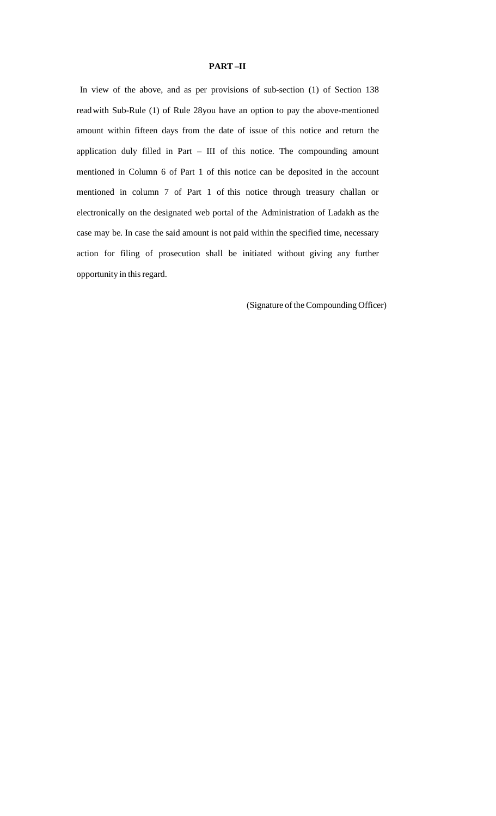### **PART –II**

In view of the above, and as per provisions of sub-section (1) of Section 138 readwith Sub-Rule (1) of Rule 28you have an option to pay the above-mentioned amount within fifteen days from the date of issue of this notice and return the application duly filled in Part – III of this notice. The compounding amount mentioned in Column 6 of Part 1 of this notice can be deposited in the account mentioned in column 7 of Part 1 of this notice through treasury challan or electronically on the designated web portal of the Administration of Ladakh as the case may be. In case the said amount is not paid within the specified time, necessary action for filing of prosecution shall be initiated without giving any further opportunity in thisregard.

(Signature of the Compounding Officer)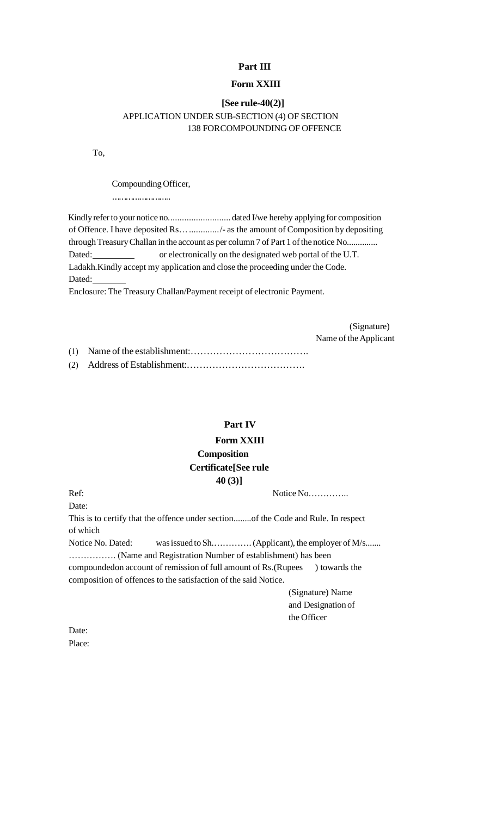### **Part III**

### **Form XXIII**

# **[See rule-40(2)]** APPLICATION UNDER SUB-SECTION (4) OF SECTION 138 FORCOMPOUNDING OF OFFENCE

To,

Compounding Officer,

………………………

Kindly refer to your notice no.................................dated I/we hereby applying for composition of Offence. I have deposited Rs…............./- as the amount of Composition by depositing through Treasury Challan in the account as per column 7 of Part 1 of the notice No.............. Dated: or electronically on the designated web portal of the U.T. Ladakh.Kindly accept my application and close the proceeding under the Code. Dated:

Enclosure: The Treasury Challan/Payment receipt of electronic Payment.

(Signature) Name of the Applicant

(1) Name of the establishment:………………………………. (2) Address of Establishment:……………………………….

# **Part IV**

# **Form XXIII Composition Certificate[See rule**

**40 (3)]**

Ref: Notice No…………..

Date:

This is to certify that the offence under section........of the Code and Rule. In respect of which

Notice No. Dated: wasissued to Sh.………….(Applicant), the employer ofM/s....... ……………. (Name and Registration Number of establishment) has been compoundedon account of remission of full amount of Rs.(Rupees ) towards the composition of offences to the satisfaction of the said Notice.

> (Signature) Name and Designation of the Officer

Date: Place: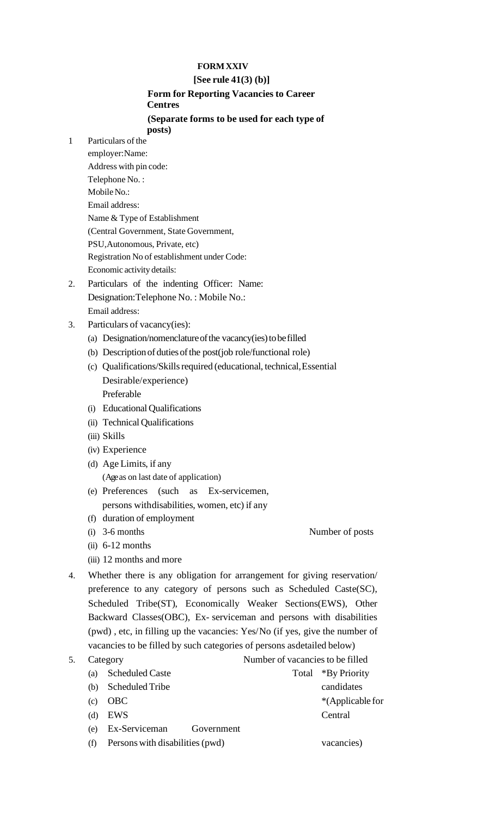# **FORMXXIV**

# **[See rule 41(3) (b)]**

# **Form for Reporting Vacancies to Career Centres**

### **(Separate forms to be used for each type of posts)**

- 1 Particulars of the
	- employer:Name: Address with pin code: Telephone No. : Mobile No.: Email address: Name & Type of Establishment (Central Government, State Government, PSU,Autonomous, Private, etc) Registration No of establishment under Code: Economic activity details:
- 2. Particulars of the indenting Officer: Name: Designation:Telephone No. : Mobile No.: Email address:
- 3. Particulars of vacancy(ies):
	- (a) Designation/nomenclature of the vacancy(ies) to be filled
	- (b) Description of duties of the post(job role/functional role)
	- (c) Qualifications/Skills required (educational, technical, Essential Desirable/experience) Preferable
	- (i) Educational Qualifications
	- (ii) Technical Qualifications
	- (iii) Skills
	- (iv) Experience
	- (d) Age Limits, if any (Ageas on last date of application)
	- (e) Preferences (such as Ex-servicemen, persons withdisabilities, women, etc) if any
	- (f) duration of employment
	- (i) 3-6 months Number of posts
	- $(ii)$  6-12 months
	- (iii) 12 months and more
- 4. Whether there is any obligation for arrangement for giving reservation/ preference to any category of persons such as Scheduled Caste(SC), Scheduled Tribe(ST), Economically Weaker Sections(EWS), Other Backward Classes(OBC), Ex- serviceman and persons with disabilities (pwd) , etc, in filling up the vacancies: Yes/No (if yes, give the number of vacancies to be filled by such categories of persons asdetailed below)

| 5. |     | Category               | Number of vacancies to be filled |                    |
|----|-----|------------------------|----------------------------------|--------------------|
|    | (a) | <b>Scheduled Caste</b> |                                  | Total *By Priority |
|    | (b) | Scheduled Tribe        |                                  | candidates         |
|    | (c) | <b>OBC</b>             |                                  | *(Applicable for   |
|    | (d) | <b>EWS</b>             |                                  | Central            |
|    | (e) | Ex-Serviceman          | Government                       |                    |
|    |     |                        |                                  |                    |

(f) Persons with disabilities(pwd) vacancies)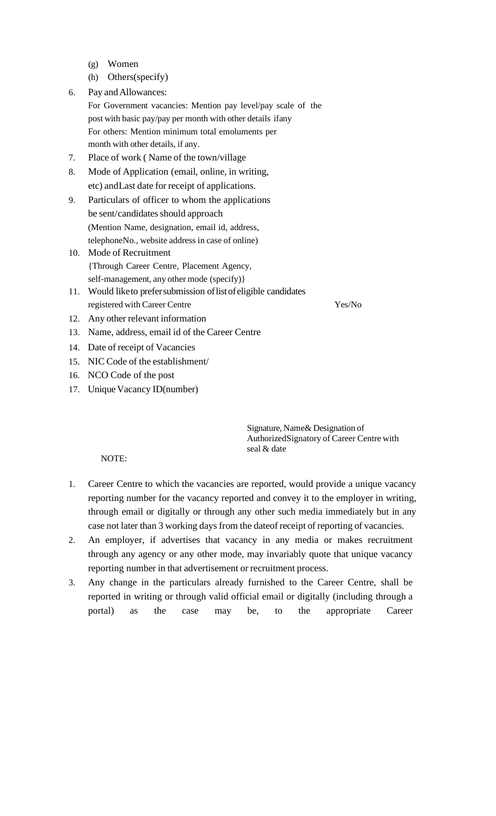- (g) Women
- (h) Others(specify)
- 6. Pay andAllowances:
	- For Government vacancies: Mention pay level/pay scale of the post with basic pay/pay per month with other details ifany For others: Mention minimum total emoluments per month with other details, if any.
- 7. Place of work ( Name of the town/village
- 8. Mode of Application (email, online, in writing, etc) andLast date for receipt of applications.
- 9. Particulars of officer to whom the applications be sent/candidates should approach (Mention Name, designation, email id, address, telephoneNo., website address in case of online)
- 10. Mode of Recruitment {Through Career Centre, Placement Agency, self-management, any other mode (specify)}
- 11. Would liketo prefersubmission oflistofeligible candidates registered with Career Centre Yes/No
- 12. Any other relevant information
- 13. Name, address, email id of the Career Centre
- 14. Date of receipt of Vacancies
- 15. NIC Code of the establishment/
- 16. NCO Code of the post
- 17. Unique Vacancy ID(number)

Signature, Name& Designation of AuthorizedSignatory of Career Centre with seal & date

NOTE:

- 1. Career Centre to which the vacancies are reported, would provide a unique vacancy reporting number for the vacancy reported and convey it to the employer in writing, through email or digitally or through any other such media immediately but in any case not later than 3 working days from the dateof receipt of reporting of vacancies.
- 2. An employer, if advertises that vacancy in any media or makes recruitment through any agency or any other mode, may invariably quote that unique vacancy reporting number in that advertisement or recruitment process.
- 3. Any change in the particulars already furnished to the Career Centre, shall be reported in writing or through valid official email or digitally (including through a portal) as the case may be, to the appropriate Career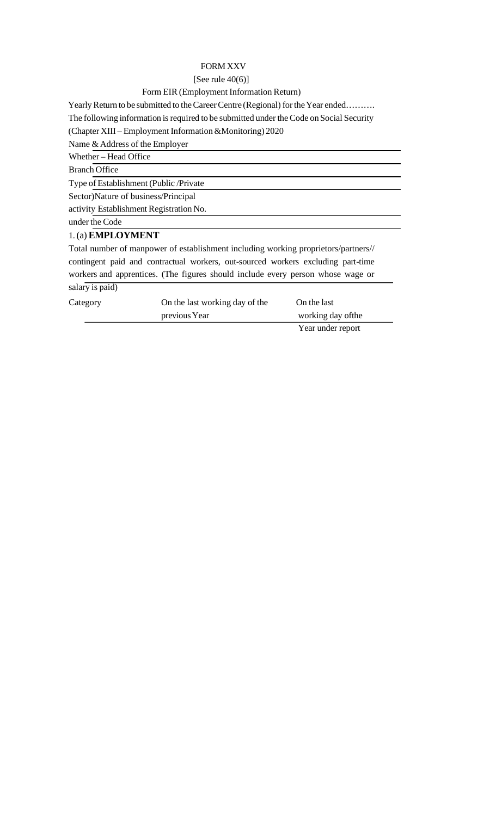# FORM XXV

#### [See rule  $40(6)$ ]

#### Form EIR (Employment Information Return)

Yearly Return to be submitted to the Career Centre (Regional) for the Year ended……….

The following information is required to be submitted under the Code on Social Security

(Chapter XIII – Employment Information&Monitoring) 2020

Name & Address of the Employer

Whether – Head Office

Branch Office

Type of Establishment (Public /Private

Sector)Nature of business/Principal

activity Establishment Registration No.

under the Code

### 1.(a)**EMPLOYMENT**

Total number of manpower of establishment including working proprietors/partners// contingent paid and contractual workers, out-sourced workers excluding part-time workers and apprentices. (The figures should include every person whose wage or salary is paid)

| Category | On the last working day of the | On the last        |
|----------|--------------------------------|--------------------|
|          | previous Year                  | working day of the |
|          |                                |                    |

Year under report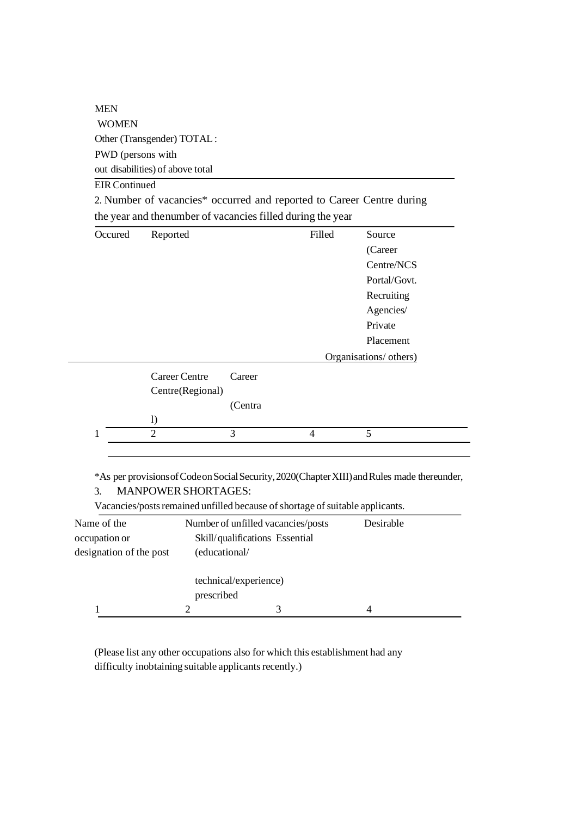MEN WOMEN Other (Transgender) TOTAL: PWD (persons with out disabilities) of above total

# EIRContinued

|  | 2. Number of vacancies* occurred and reported to Career Centre during |  |  |
|--|-----------------------------------------------------------------------|--|--|
|  | the year and the number of vacancies filled during the year           |  |  |

| Occured | Reported             |         | Filled         | Source                 |
|---------|----------------------|---------|----------------|------------------------|
|         |                      |         |                | (Career                |
|         |                      |         |                | Centre/NCS             |
|         |                      |         |                | Portal/Govt.           |
|         |                      |         |                | Recruiting             |
|         |                      |         |                | Agencies/              |
|         |                      |         |                | Private                |
|         |                      |         |                | Placement              |
|         |                      |         |                | Organisations/ others) |
|         | <b>Career Centre</b> | Career  |                |                        |
|         | Centre(Regional)     |         |                |                        |
|         |                      | (Centra |                |                        |
|         | $\left( \right)$     |         |                |                        |
| 1       | $\overline{2}$       | 3       | $\overline{4}$ | 5                      |

\*As per provisionsofCodeonSocialSecurity,2020(ChapterXIII)andRules made thereunder, 3. MANPOWER SHORTAGES:

Vacancies/posts remained unfilled because of shortage of suitable applicants.

| Name of the             |                       | Number of unfilled vacancies/posts | Desirable |  |
|-------------------------|-----------------------|------------------------------------|-----------|--|
| occupation or           |                       | Skill/qualifications Essential     |           |  |
| designation of the post | (educational/         |                                    |           |  |
|                         | technical/experience) |                                    |           |  |
|                         | prescribed            |                                    |           |  |
|                         |                       |                                    | 4         |  |

(Please list any other occupations also for which this establishment had any difficulty inobtaining suitable applicants recently.)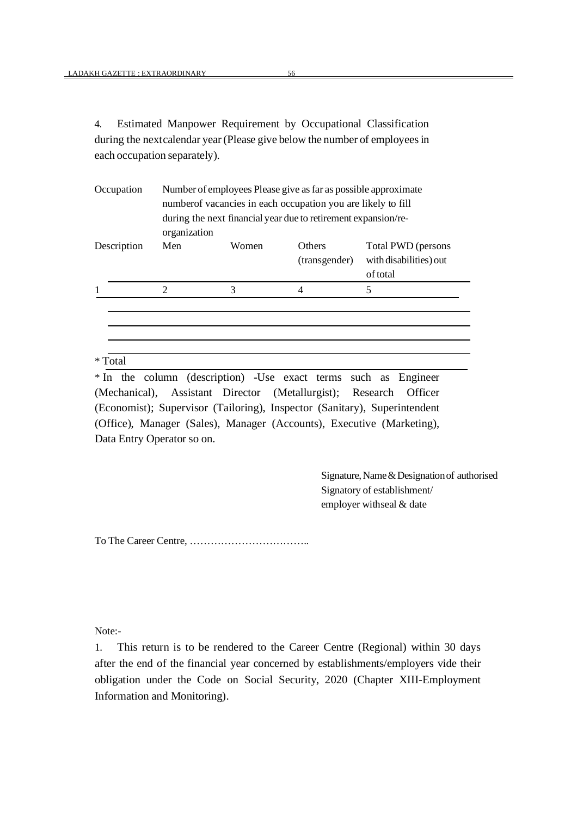4. Estimated Manpower Requirement by Occupational Classification during the nextcalendar year (Please give below the number of employees in each occupation separately).

| Number of employees Please give as far as possible approximate<br>numberof vacancies in each occupation you are likely to fill<br>during the next financial year due to retirement expansion/re-<br>organization |       |                                |                                                          |
|------------------------------------------------------------------------------------------------------------------------------------------------------------------------------------------------------------------|-------|--------------------------------|----------------------------------------------------------|
| Men                                                                                                                                                                                                              | Women | <b>Others</b><br>(transgender) | Total PWD (persons<br>with disabilities) out<br>of total |
| $\overline{2}$                                                                                                                                                                                                   | 3     |                                | 5                                                        |
|                                                                                                                                                                                                                  |       |                                |                                                          |
|                                                                                                                                                                                                                  |       |                                |                                                          |

\* In the column (description) -Use exact terms such as Engineer (Mechanical), Assistant Director (Metallurgist); Research Officer (Economist); Supervisor (Tailoring), Inspector (Sanitary), Superintendent (Office), Manager (Sales), Manager (Accounts), Executive (Marketing), Data Entry Operator so on.

> Signature, Name & Designation of authorised Signatory of establishment/ employer withseal & date

To The Career Centre, ……………………………..

Note:-

1. This return is to be rendered to the Career Centre (Regional) within 30 days after the end of the financial year concerned by establishments/employers vide their obligation under the Code on Social Security, 2020 (Chapter XIII-Employment Information and Monitoring).